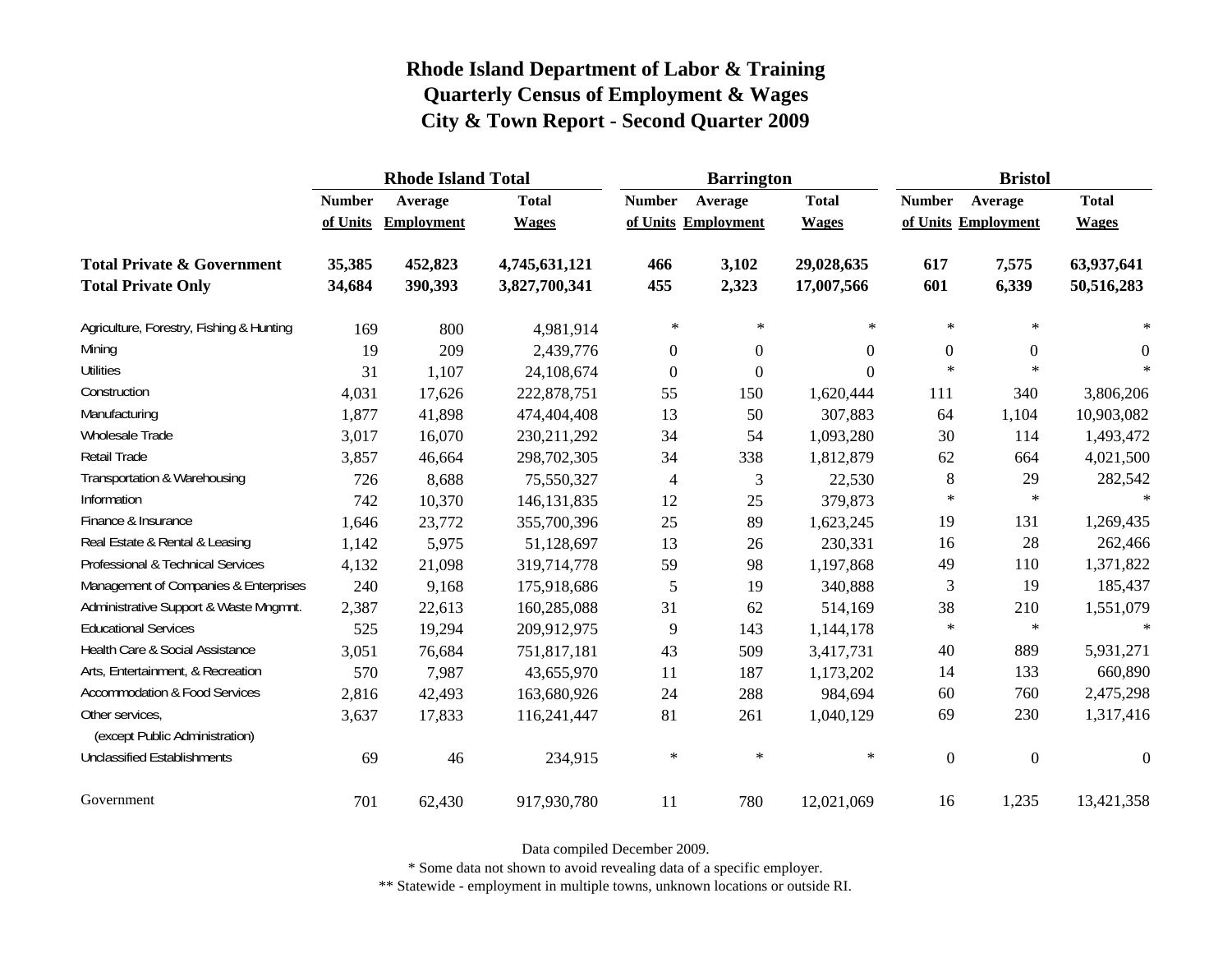|                                                   |               | <b>Rhode Island Total</b> |               |                     | <b>Barrington</b> |              | <b>Bristol</b>      |                  |              |  |
|---------------------------------------------------|---------------|---------------------------|---------------|---------------------|-------------------|--------------|---------------------|------------------|--------------|--|
|                                                   | <b>Number</b> | Average                   | <b>Total</b>  | <b>Number</b>       | Average           | <b>Total</b> | <b>Number</b>       | Average          | <b>Total</b> |  |
|                                                   | of Units      | <b>Employment</b>         | <b>Wages</b>  | of Units Employment |                   | <b>Wages</b> | of Units Employment |                  | <b>Wages</b> |  |
| <b>Total Private &amp; Government</b>             | 35,385        | 452,823                   | 4,745,631,121 | 466                 | 3,102             | 29,028,635   | 617                 | 7,575            | 63,937,641   |  |
| <b>Total Private Only</b>                         | 34,684        | 390,393                   | 3,827,700,341 | 455                 | 2,323             | 17,007,566   | 601                 | 6,339            | 50,516,283   |  |
| Agriculture, Forestry, Fishing & Hunting          | 169           | 800                       | 4,981,914     | $\ast$              | $\ast$            | $\ast$       | $\ast$              | $\ast$           | $\ast$       |  |
| Mining                                            | 19            | 209                       | 2,439,776     | $\boldsymbol{0}$    | $\theta$          | $\Omega$     | $\boldsymbol{0}$    | $\overline{0}$   | $\theta$     |  |
| <b>Utilities</b>                                  | 31            | 1,107                     | 24,108,674    | $\boldsymbol{0}$    | $\mathbf{0}$      | $\Omega$     | $\ast$              | $\ast$           | $\ast$       |  |
| Construction                                      | 4,031         | 17,626                    | 222,878,751   | 55                  | 150               | 1,620,444    | 111                 | 340              | 3,806,206    |  |
| Manufacturing                                     | 1,877         | 41,898                    | 474,404,408   | 13                  | 50                | 307,883      | 64                  | 1,104            | 10,903,082   |  |
| <b>Wholesale Trade</b>                            | 3,017         | 16,070                    | 230, 211, 292 | 34                  | 54                | 1,093,280    | 30                  | 114              | 1,493,472    |  |
| Retail Trade                                      | 3,857         | 46,664                    | 298,702,305   | 34                  | 338               | 1,812,879    | 62                  | 664              | 4,021,500    |  |
| Transportation & Warehousing                      | 726           | 8,688                     | 75,550,327    | $\overline{4}$      | 3                 | 22,530       | 8                   | 29               | 282,542      |  |
| Information                                       | 742           | 10,370                    | 146, 131, 835 | 12                  | 25                | 379,873      | $\ast$              | $\ast$           | $\ast$       |  |
| Finance & Insurance                               | 1,646         | 23,772                    | 355,700,396   | 25                  | 89                | 1,623,245    | 19                  | 131              | 1,269,435    |  |
| Real Estate & Rental & Leasing                    | 1,142         | 5,975                     | 51,128,697    | 13                  | 26                | 230,331      | 16                  | 28               | 262,466      |  |
| Professional & Technical Services                 | 4,132         | 21,098                    | 319,714,778   | 59                  | 98                | 1,197,868    | 49                  | 110              | 1,371,822    |  |
| Management of Companies & Enterprises             | 240           | 9,168                     | 175,918,686   | 5                   | 19                | 340,888      | 3                   | 19               | 185,437      |  |
| Administrative Support & Waste Mngmnt.            | 2,387         | 22,613                    | 160,285,088   | 31                  | 62                | 514,169      | 38                  | 210              | 1,551,079    |  |
| <b>Educational Services</b>                       | 525           | 19,294                    | 209,912,975   | 9                   | 143               | 1,144,178    | $\ast$              | $\ast$           | $\ast$       |  |
| Health Care & Social Assistance                   | 3,051         | 76,684                    | 751,817,181   | 43                  | 509               | 3,417,731    | 40                  | 889              | 5,931,271    |  |
| Arts, Entertainment, & Recreation                 | 570           | 7,987                     | 43,655,970    | 11                  | 187               | 1,173,202    | 14                  | 133              | 660,890      |  |
| <b>Accommodation &amp; Food Services</b>          | 2,816         | 42,493                    | 163,680,926   | 24                  | 288               | 984,694      | 60                  | 760              | 2,475,298    |  |
| Other services,<br>(except Public Administration) | 3,637         | 17,833                    | 116,241,447   | 81                  | 261               | 1,040,129    | 69                  | 230              | 1,317,416    |  |
| <b>Unclassified Establishments</b>                | 69            | 46                        | 234,915       | $\ast$              | $\ast$            | $\ast$       | $\boldsymbol{0}$    | $\boldsymbol{0}$ | $\mathbf{0}$ |  |
| Government                                        | 701           | 62,430                    | 917,930,780   | 11                  | 780               | 12,021,069   | 16                  | 1,235            | 13,421,358   |  |

Data compiled December 2009.

\* Some data not shown to avoid revealing data of a specific employer.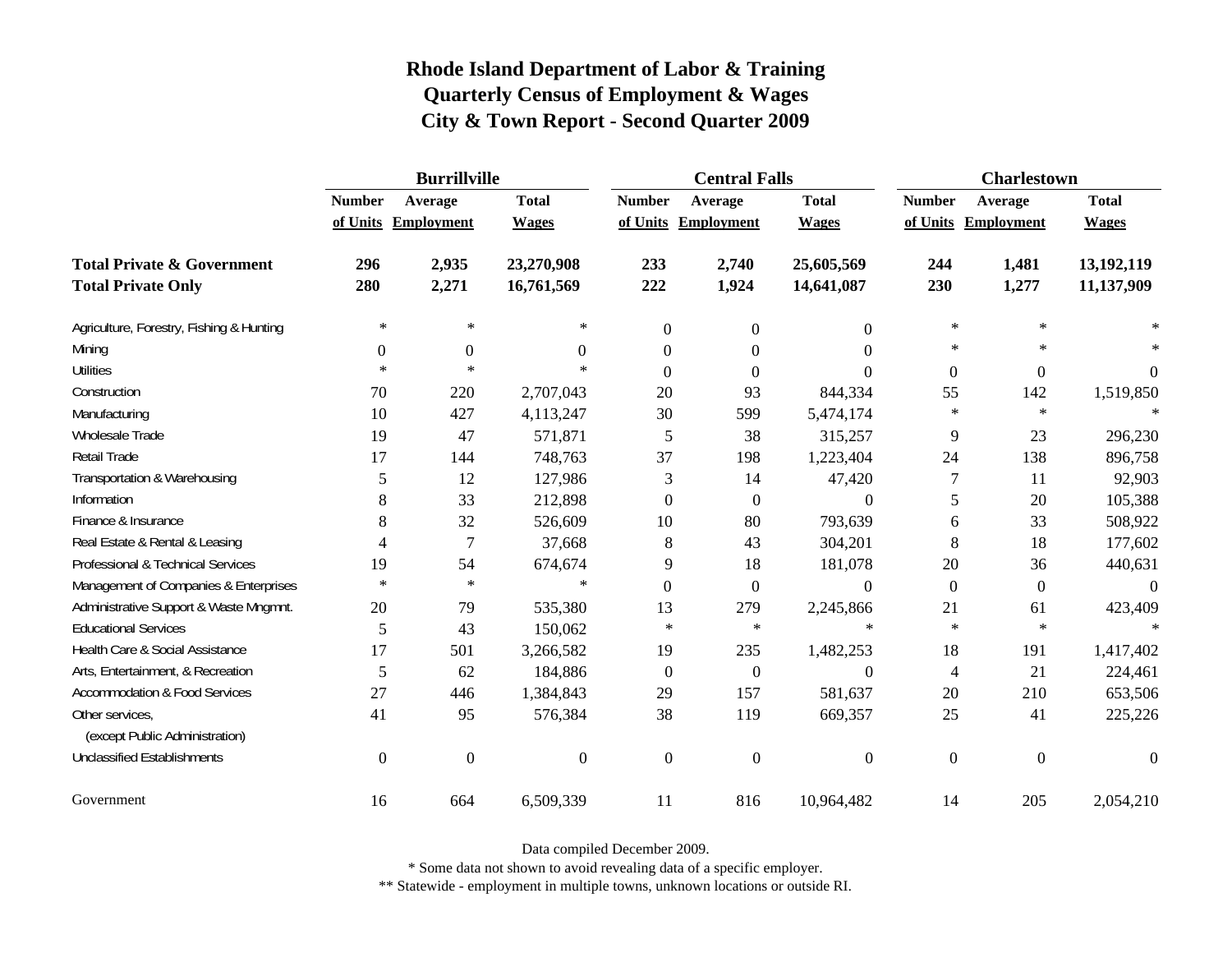|                                                   | <b>Burrillville</b> |                     |                  |               | <b>Central Falls</b> |                  | <b>Charlestown</b> |                     |              |
|---------------------------------------------------|---------------------|---------------------|------------------|---------------|----------------------|------------------|--------------------|---------------------|--------------|
|                                                   | <b>Number</b>       | Average             | <b>Total</b>     | <b>Number</b> | Average              | <b>Total</b>     | <b>Number</b>      | Average             | <b>Total</b> |
|                                                   |                     | of Units Employment | <b>Wages</b>     |               | of Units Employment  | <b>Wages</b>     |                    | of Units Employment | <b>Wages</b> |
| <b>Total Private &amp; Government</b>             | 296                 | 2,935               | 23,270,908       | 233           | 2,740                | 25,605,569       | 244                | 1,481               | 13,192,119   |
| <b>Total Private Only</b>                         | 280                 | 2,271               | 16,761,569       | 222           | 1,924                | 14,641,087       | 230                | 1,277               | 11,137,909   |
| Agriculture, Forestry, Fishing & Hunting          | $\ast$              | ∗                   | $\ast$           | $\mathbf{0}$  | $\mathbf{0}$         | $\overline{0}$   | $\ast$             | $\ast$              |              |
| Mining                                            | $\Omega$            | $\boldsymbol{0}$    | $\Omega$         | $\theta$      | $\Omega$             | $\Omega$         | $\ast$             | $\ast$              |              |
| <b>Utilities</b>                                  | $\ast$              | $\ast$              | $\ast$           | $\Omega$      | $\Omega$             | $\Omega$         | $\boldsymbol{0}$   | $\boldsymbol{0}$    | $\theta$     |
| Construction                                      | 70                  | 220                 | 2,707,043        | 20            | 93                   | 844,334          | 55                 | 142                 | 1,519,850    |
| Manufacturing                                     | 10                  | 427                 | 4,113,247        | 30            | 599                  | 5,474,174        | $\ast$             | $\ast$              | $\ast$       |
| Wholesale Trade                                   | 19                  | 47                  | 571,871          | 5             | 38                   | 315,257          | 9                  | 23                  | 296,230      |
| Retail Trade                                      | 17                  | 144                 | 748,763          | 37            | 198                  | 1,223,404        | 24                 | 138                 | 896,758      |
| Transportation & Warehousing                      | 5                   | 12                  | 127,986          | 3             | 14                   | 47,420           | 7                  | 11                  | 92,903       |
| Information                                       | 8                   | 33                  | 212,898          | $\theta$      | $\mathbf{0}$         | $\boldsymbol{0}$ | 5                  | 20                  | 105,388      |
| Finance & Insurance                               | 8                   | 32                  | 526,609          | 10            | 80                   | 793,639          | 6                  | 33                  | 508,922      |
| Real Estate & Rental & Leasing                    | 4                   | 7                   | 37,668           | 8             | 43                   | 304,201          | 8                  | 18                  | 177,602      |
| Professional & Technical Services                 | 19                  | 54                  | 674,674          | 9             | 18                   | 181,078          | $20\,$             | 36                  | 440,631      |
| Management of Companies & Enterprises             | $\ast$              | $\ast$              | $\ast$           | $\Omega$      | $\boldsymbol{0}$     | $\theta$         | $\mathbf{0}$       | $\mathbf{0}$        | $\Omega$     |
| Administrative Support & Waste Mngmnt.            | 20                  | 79                  | 535,380          | 13            | 279                  | 2,245,866        | 21                 | 61                  | 423,409      |
| <b>Educational Services</b>                       | 5                   | 43                  | 150,062          | $\ast$        | $\ast$               | $\ast$           | $\ast$             | $\ast$              |              |
| Health Care & Social Assistance                   | 17                  | 501                 | 3,266,582        | 19            | 235                  | 1,482,253        | 18                 | 191                 | 1,417,402    |
| Arts, Entertainment, & Recreation                 | 5                   | 62                  | 184,886          | $\theta$      | $\mathbf{0}$         | $\Omega$         | 4                  | 21                  | 224,461      |
| <b>Accommodation &amp; Food Services</b>          | 27                  | 446                 | 1,384,843        | 29            | 157                  | 581,637          | 20                 | 210                 | 653,506      |
| Other services,<br>(except Public Administration) | 41                  | 95                  | 576,384          | 38            | 119                  | 669,357          | 25                 | 41                  | 225,226      |
| <b>Unclassified Establishments</b>                | $\overline{0}$      | $\mathbf{0}$        | $\boldsymbol{0}$ | $\theta$      | $\overline{0}$       | $\boldsymbol{0}$ | $\mathbf{0}$       | $\mathbf{0}$        | $\Omega$     |
| Government                                        | 16                  | 664                 | 6,509,339        | 11            | 816                  | 10,964,482       | 14                 | 205                 | 2,054,210    |

Data compiled December 2009.

\* Some data not shown to avoid revealing data of a specific employer.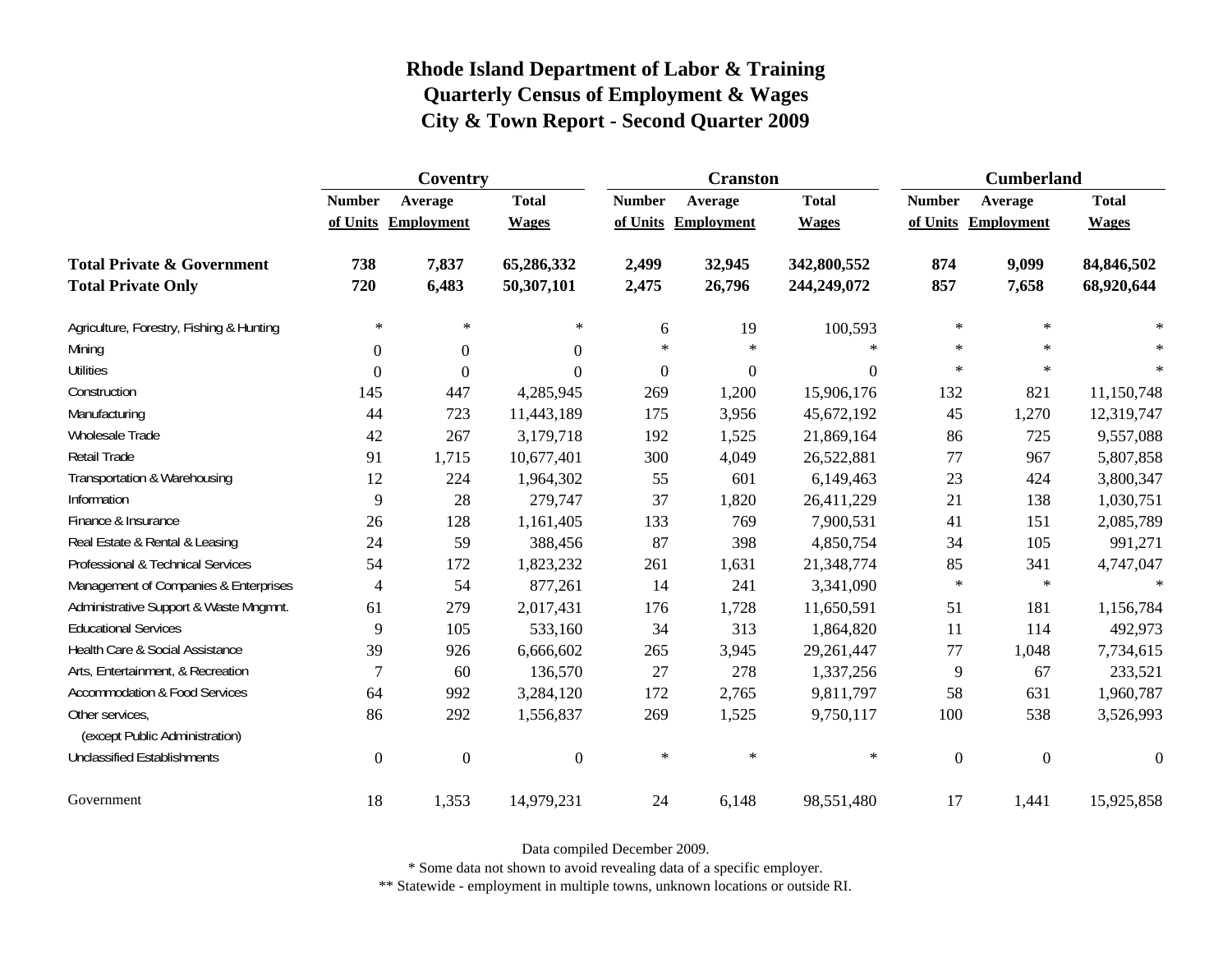|                                                   | Coventry         |                     |                |                  | <b>Cranston</b>     |              | <b>Cumberland</b> |                     |                  |
|---------------------------------------------------|------------------|---------------------|----------------|------------------|---------------------|--------------|-------------------|---------------------|------------------|
|                                                   | <b>Number</b>    | Average             | <b>Total</b>   | <b>Number</b>    | Average             | <b>Total</b> | <b>Number</b>     | Average             | <b>Total</b>     |
|                                                   |                  | of Units Employment | <b>Wages</b>   |                  | of Units Employment | <b>Wages</b> |                   | of Units Employment | <b>Wages</b>     |
| <b>Total Private &amp; Government</b>             | 738              | 7,837               | 65,286,332     | 2,499            | 32,945              | 342,800,552  | 874               | 9,099               | 84,846,502       |
| <b>Total Private Only</b>                         | 720              | 6,483               | 50,307,101     | 2,475            | 26,796              | 244,249,072  | 857               | 7,658               | 68,920,644       |
| Agriculture, Forestry, Fishing & Hunting          | $\ast$           | $\ast$              | $\ast$         | 6                | 19                  | 100,593      | $\ast$            | $\ast$              |                  |
| Mining                                            | $\boldsymbol{0}$ | $\Omega$            | $\Omega$       | $\ast$           | $\ast$              | $\ast$       | $\ast$            | $\star$             |                  |
| <b>Utilities</b>                                  | $\theta$         | $\Omega$            | $\Omega$       | $\boldsymbol{0}$ | $\boldsymbol{0}$    | $\Omega$     | $\ast$            | $\ast$              | $\ast$           |
| Construction                                      | 145              | 447                 | 4,285,945      | 269              | 1,200               | 15,906,176   | 132               | 821                 | 11,150,748       |
| Manufacturing                                     | 44               | 723                 | 11,443,189     | 175              | 3,956               | 45,672,192   | 45                | 1,270               | 12,319,747       |
| <b>Wholesale Trade</b>                            | 42               | 267                 | 3,179,718      | 192              | 1,525               | 21,869,164   | 86                | 725                 | 9,557,088        |
| Retail Trade                                      | 91               | 1,715               | 10,677,401     | 300              | 4,049               | 26,522,881   | 77                | 967                 | 5,807,858        |
| Transportation & Warehousing                      | 12               | 224                 | 1,964,302      | 55               | 601                 | 6,149,463    | 23                | 424                 | 3,800,347        |
| Information                                       | 9                | 28                  | 279,747        | 37               | 1,820               | 26,411,229   | 21                | 138                 | 1,030,751        |
| Finance & Insurance                               | 26               | 128                 | 1,161,405      | 133              | 769                 | 7,900,531    | 41                | 151                 | 2,085,789        |
| Real Estate & Rental & Leasing                    | 24               | 59                  | 388,456        | 87               | 398                 | 4,850,754    | 34                | 105                 | 991,271          |
| Professional & Technical Services                 | 54               | 172                 | 1,823,232      | 261              | 1,631               | 21,348,774   | 85                | 341                 | 4,747,047        |
| Management of Companies & Enterprises             | $\overline{4}$   | 54                  | 877,261        | 14               | 241                 | 3,341,090    | $\ast$            | $\ast$              | $\ast$           |
| Administrative Support & Waste Mngmnt.            | 61               | 279                 | 2,017,431      | 176              | 1,728               | 11,650,591   | 51                | 181                 | 1,156,784        |
| <b>Educational Services</b>                       | 9                | 105                 | 533,160        | 34               | 313                 | 1,864,820    | 11                | 114                 | 492,973          |
| Health Care & Social Assistance                   | 39               | 926                 | 6,666,602      | 265              | 3,945               | 29,261,447   | 77                | 1,048               | 7,734,615        |
| Arts, Entertainment, & Recreation                 | 7                | 60                  | 136,570        | 27               | 278                 | 1,337,256    | 9                 | 67                  | 233,521          |
| <b>Accommodation &amp; Food Services</b>          | 64               | 992                 | 3,284,120      | 172              | 2,765               | 9,811,797    | 58                | 631                 | 1,960,787        |
| Other services,<br>(except Public Administration) | 86               | 292                 | 1,556,837      | 269              | 1,525               | 9,750,117    | 100               | 538                 | 3,526,993        |
| <b>Unclassified Establishments</b>                | $\boldsymbol{0}$ | $\boldsymbol{0}$    | $\overline{0}$ | $\ast$           | $\ast$              | $\ast$       | $\boldsymbol{0}$  | $\boldsymbol{0}$    | $\boldsymbol{0}$ |
| Government                                        | 18               | 1,353               | 14,979,231     | 24               | 6,148               | 98,551,480   | 17                | 1,441               | 15,925,858       |

Data compiled December 2009.

\* Some data not shown to avoid revealing data of a specific employer.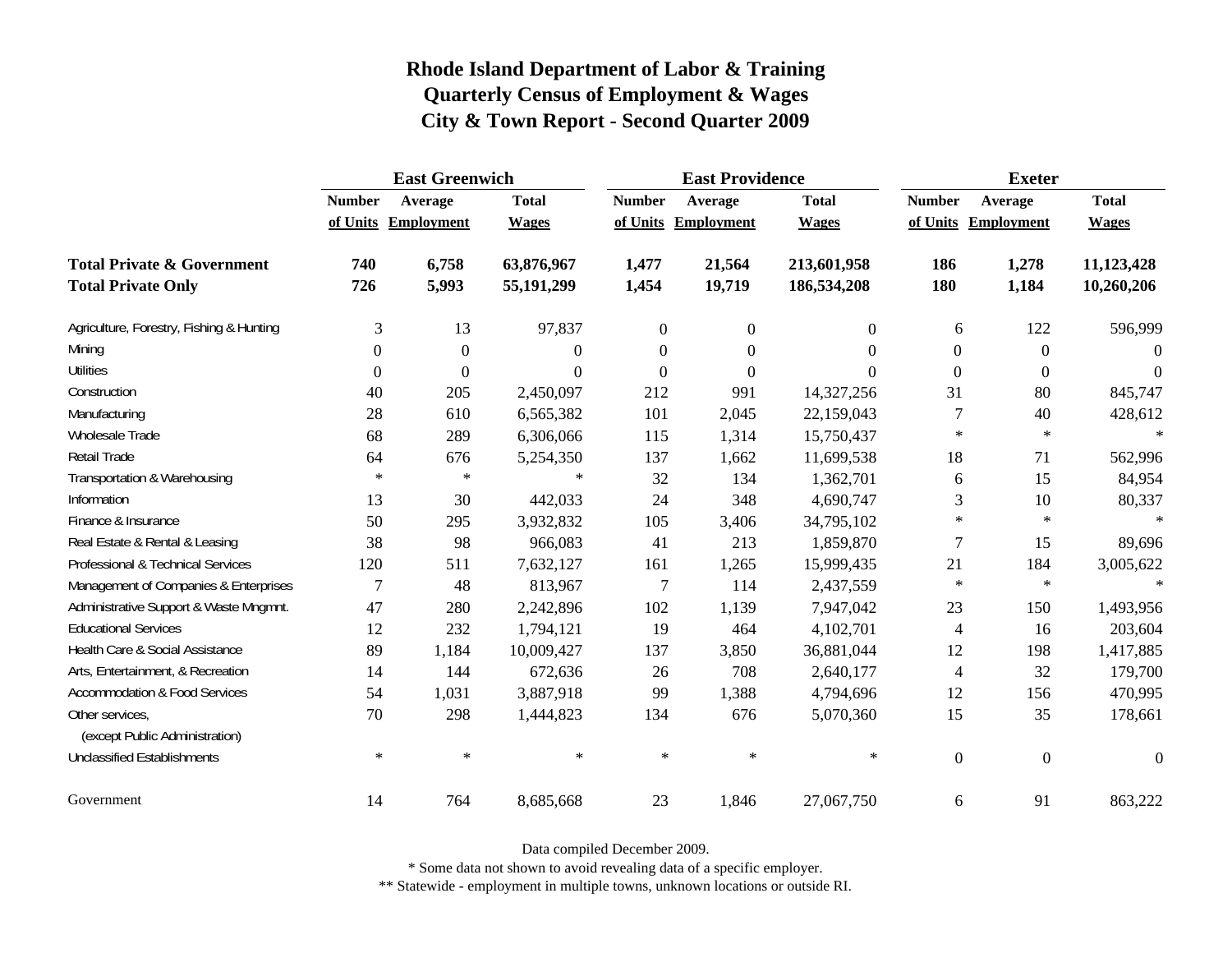|                                                   | <b>East Greenwich</b> |                     |              |                | <b>East Providence</b> |              | <b>Exeter</b>    |                     |                  |
|---------------------------------------------------|-----------------------|---------------------|--------------|----------------|------------------------|--------------|------------------|---------------------|------------------|
|                                                   | <b>Number</b>         | Average             | <b>Total</b> | <b>Number</b>  | Average                | <b>Total</b> | <b>Number</b>    | Average             | <b>Total</b>     |
|                                                   |                       | of Units Employment | <b>Wages</b> |                | of Units Employment    | <b>Wages</b> |                  | of Units Employment | <b>Wages</b>     |
| <b>Total Private &amp; Government</b>             | 740                   | 6,758               | 63,876,967   | 1,477          | 21,564                 | 213,601,958  | 186              | 1,278               | 11,123,428       |
| <b>Total Private Only</b>                         | 726                   | 5,993               | 55,191,299   | 1,454          | 19,719                 | 186,534,208  | 180              | 1,184               | 10,260,206       |
| Agriculture, Forestry, Fishing & Hunting          | $\mathfrak{Z}$        | 13                  | 97,837       | $\overline{0}$ | $\boldsymbol{0}$       | $\Omega$     | 6                | 122                 | 596,999          |
| Mining                                            | $\Omega$              | $\boldsymbol{0}$    | $\Omega$     | $\overline{0}$ | $\theta$               | $\Omega$     | $\boldsymbol{0}$ | $\mathbf{0}$        | $\theta$         |
| <b>Utilities</b>                                  | $\boldsymbol{0}$      | $\theta$            | $\Omega$     | $\theta$       | $\overline{0}$         | $\Omega$     | $\boldsymbol{0}$ | $\boldsymbol{0}$    | $\Omega$         |
| Construction                                      | 40                    | 205                 | 2,450,097    | 212            | 991                    | 14,327,256   | 31               | 80                  | 845,747          |
| Manufacturing                                     | 28                    | 610                 | 6,565,382    | 101            | 2,045                  | 22,159,043   | $\tau$           | 40                  | 428,612          |
| Wholesale Trade                                   | 68                    | 289                 | 6,306,066    | 115            | 1,314                  | 15,750,437   | $\ast$           | $\ast$              | $\ast$           |
| <b>Retail Trade</b>                               | 64                    | 676                 | 5,254,350    | 137            | 1,662                  | 11,699,538   | 18               | 71                  | 562,996          |
| Transportation & Warehousing                      | $\ast$                | $\ast$              | $\ast$       | 32             | 134                    | 1,362,701    | 6                | 15                  | 84,954           |
| Information                                       | 13                    | 30                  | 442,033      | 24             | 348                    | 4,690,747    | 3                | 10                  | 80,337           |
| Finance & Insurance                               | 50                    | 295                 | 3,932,832    | 105            | 3,406                  | 34,795,102   | $\ast$           | $\star$             | $\ast$           |
| Real Estate & Rental & Leasing                    | 38                    | 98                  | 966,083      | 41             | 213                    | 1,859,870    | 7                | 15                  | 89,696           |
| Professional & Technical Services                 | 120                   | 511                 | 7,632,127    | 161            | 1,265                  | 15,999,435   | 21               | 184                 | 3,005,622        |
| Management of Companies & Enterprises             | 7                     | 48                  | 813,967      | 7              | 114                    | 2,437,559    | $\ast$           | $\ast$              | $\star$          |
| Administrative Support & Waste Mngmnt.            | 47                    | 280                 | 2,242,896    | 102            | 1,139                  | 7,947,042    | 23               | 150                 | 1,493,956        |
| <b>Educational Services</b>                       | 12                    | 232                 | 1,794,121    | 19             | 464                    | 4,102,701    | $\overline{4}$   | 16                  | 203,604          |
| Health Care & Social Assistance                   | 89                    | 1,184               | 10,009,427   | 137            | 3,850                  | 36,881,044   | 12               | 198                 | 1,417,885        |
| Arts, Entertainment, & Recreation                 | 14                    | 144                 | 672,636      | 26             | 708                    | 2,640,177    | $\overline{4}$   | 32                  | 179,700          |
| <b>Accommodation &amp; Food Services</b>          | 54                    | 1,031               | 3,887,918    | 99             | 1,388                  | 4,794,696    | 12               | 156                 | 470,995          |
| Other services,<br>(except Public Administration) | 70                    | 298                 | 1,444,823    | 134            | 676                    | 5,070,360    | 15               | 35                  | 178,661          |
| <b>Unclassified Establishments</b>                | $\ast$                | $\ast$              | $\ast$       | $\ast$         | $\ast$                 | $\ast$       | $\mathbf{0}$     | $\boldsymbol{0}$    | $\boldsymbol{0}$ |
| Government                                        | 14                    | 764                 | 8,685,668    | 23             | 1,846                  | 27,067,750   | 6                | 91                  | 863,222          |

Data compiled December 2009.

\* Some data not shown to avoid revealing data of a specific employer.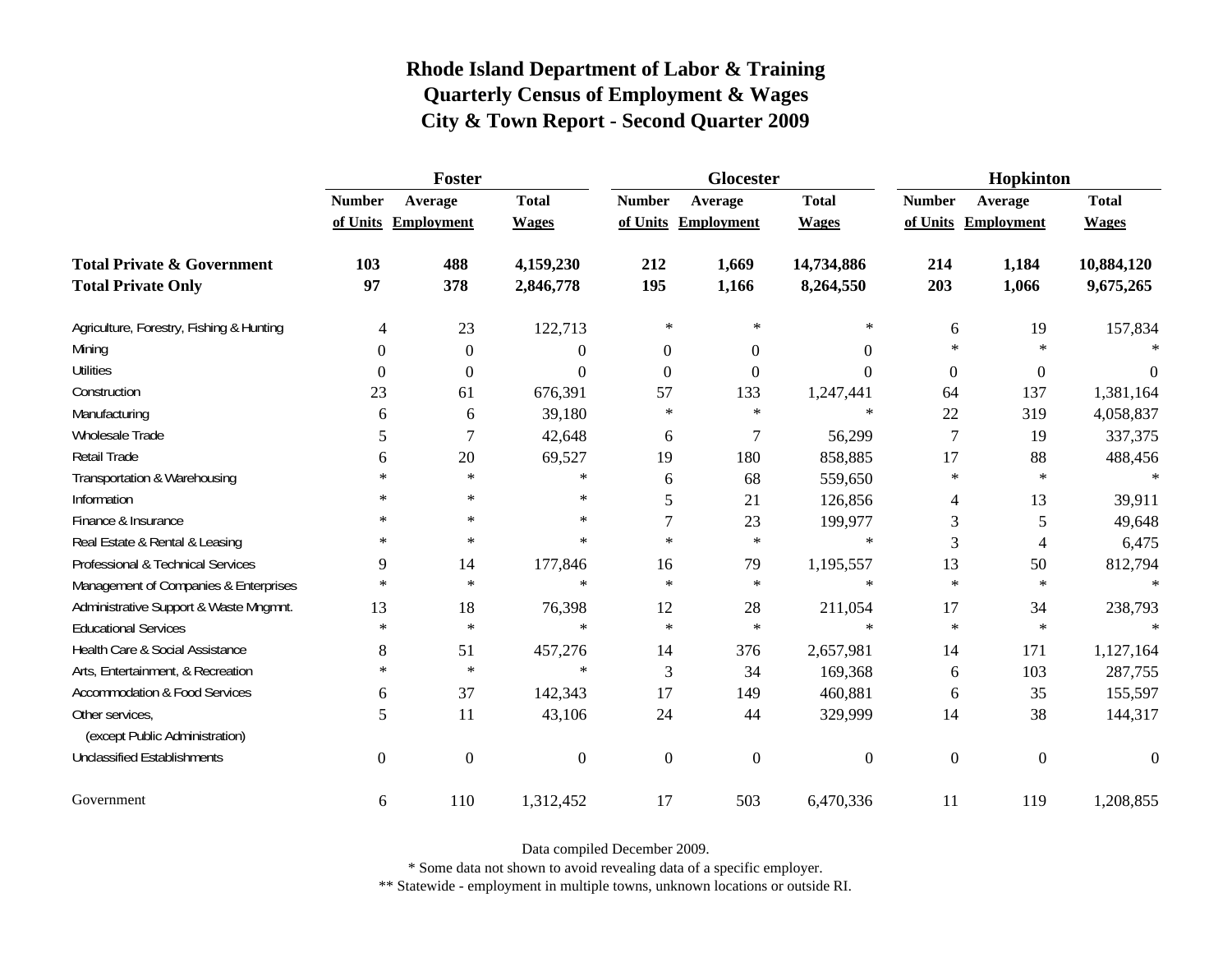|                                                   | <b>Foster</b>    |                     |                |                | Glocester           |                  | Hopkinton        |                     |              |
|---------------------------------------------------|------------------|---------------------|----------------|----------------|---------------------|------------------|------------------|---------------------|--------------|
|                                                   | <b>Number</b>    | Average             | <b>Total</b>   | <b>Number</b>  | Average             | <b>Total</b>     | <b>Number</b>    | Average             | <b>Total</b> |
|                                                   |                  | of Units Employment | <b>Wages</b>   |                | of Units Employment | <b>Wages</b>     |                  | of Units Employment | <b>Wages</b> |
| <b>Total Private &amp; Government</b>             | 103              | 488                 | 4,159,230      | 212            | 1,669               | 14,734,886       | 214              | 1,184               | 10,884,120   |
| <b>Total Private Only</b>                         | 97               | 378                 | 2,846,778      | 195            | 1,166               | 8,264,550        | 203              | 1,066               | 9,675,265    |
| Agriculture, Forestry, Fishing & Hunting          | 4                | 23                  | 122,713        | $\ast$         | $\ast$              | $\ast$           | 6                | 19                  | 157,834      |
| Mining                                            | $\theta$         | $\boldsymbol{0}$    | $\overline{0}$ | $\overline{0}$ | $\overline{0}$      | $\overline{0}$   | $\ast$           | $\star$             |              |
| <b>Utilities</b>                                  | $\boldsymbol{0}$ | $\boldsymbol{0}$    | $\Omega$       | $\Omega$       | $\mathbf{0}$        | $\boldsymbol{0}$ | $\boldsymbol{0}$ | $\boldsymbol{0}$    | $\theta$     |
| Construction                                      | 23               | 61                  | 676,391        | 57             | 133                 | 1,247,441        | 64               | 137                 | 1,381,164    |
| Manufacturing                                     | 6                | 6                   | 39,180         | $\ast$         | $\ast$              | $\ast$           | 22               | 319                 | 4,058,837    |
| Wholesale Trade                                   | 5                | 7                   | 42,648         | 6              | 7                   | 56,299           | $\tau$           | 19                  | 337,375      |
| Retail Trade                                      | 6                | 20                  | 69,527         | 19             | 180                 | 858,885          | 17               | 88                  | 488,456      |
| Transportation & Warehousing                      | $\ast$           | $\ast$              | $\ast$         | 6              | 68                  | 559,650          | $\ast$           | $\star$             | $\ast$       |
| Information                                       | $\ast$           | $\ast$              | $\ast$         | 5              | 21                  | 126,856          | 4                | 13                  | 39,911       |
| Finance & Insurance                               | $*$              | $\ast$              | $\ast$         | 7              | 23                  | 199,977          | 3                | 5                   | 49,648       |
| Real Estate & Rental & Leasing                    | $\ast$           | $\ast$              | $\ast$         | $\star$        | $\ast$              | $\ast$           | 3                | 4                   | 6,475        |
| Professional & Technical Services                 | 9                | 14                  | 177,846        | 16             | 79                  | 1,195,557        | 13               | 50                  | 812,794      |
| Management of Companies & Enterprises             | $\ast$           | $\ast$              | $\ast$         | $\star$        | $\ast$              | $\ast$           | $\ast$           | $\star$             | $\ast$       |
| Administrative Support & Waste Mngmnt.            | 13               | 18                  | 76,398         | 12             | 28                  | 211,054          | 17               | 34                  | 238,793      |
| <b>Educational Services</b>                       | $\ast$           | $\ast$              | $\ast$         | $\ast$         | $\ast$              | $\ast$           | $\ast$           | $\ast$              |              |
| Health Care & Social Assistance                   | 8                | 51                  | 457,276        | 14             | 376                 | 2,657,981        | 14               | 171                 | 1,127,164    |
| Arts, Entertainment, & Recreation                 | $\ast$           | $\ast$              | $\ast$         | 3              | 34                  | 169,368          | 6                | 103                 | 287,755      |
| <b>Accommodation &amp; Food Services</b>          | 6                | 37                  | 142,343        | 17             | 149                 | 460,881          | 6                | 35                  | 155,597      |
| Other services,<br>(except Public Administration) | 5                | 11                  | 43,106         | 24             | 44                  | 329,999          | 14               | 38                  | 144,317      |
| <b>Unclassified Establishments</b>                | $\overline{0}$   | $\boldsymbol{0}$    | $\Omega$       | $\mathbf{0}$   | $\overline{0}$      | $\mathbf{0}$     | $\mathbf{0}$     | $\boldsymbol{0}$    | $\theta$     |
| Government                                        | 6                | 110                 | 1,312,452      | 17             | 503                 | 6,470,336        | 11               | 119                 | 1,208,855    |

Data compiled December 2009.

\* Some data not shown to avoid revealing data of a specific employer.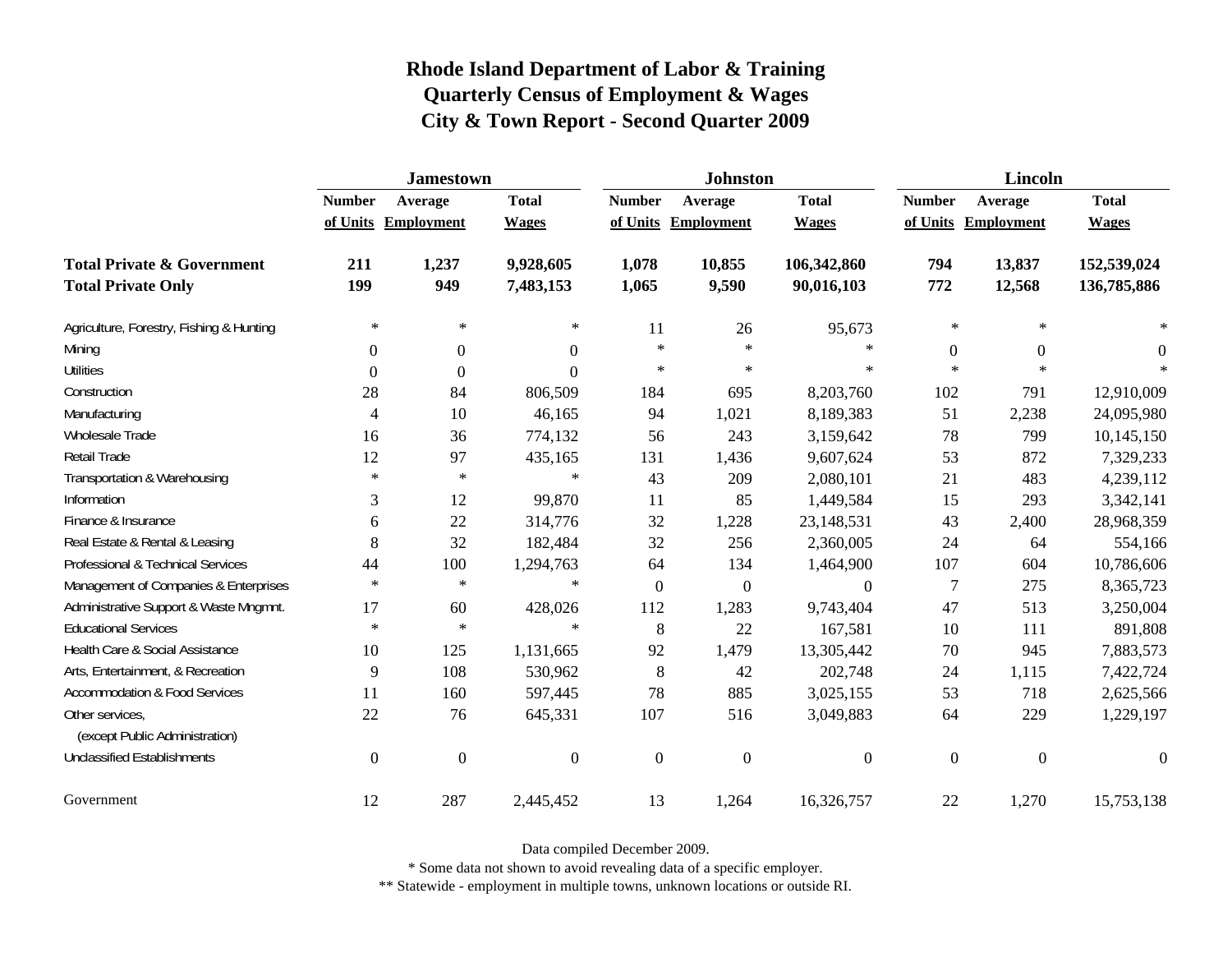|                                                   | <b>Jamestown</b> |                     |                  |                  | <b>Johnston</b>   |                  | <b>Lincoln</b> |                  |                  |  |
|---------------------------------------------------|------------------|---------------------|------------------|------------------|-------------------|------------------|----------------|------------------|------------------|--|
|                                                   | <b>Number</b>    | Average             | <b>Total</b>     | <b>Number</b>    | Average           | <b>Total</b>     | <b>Number</b>  | Average          | <b>Total</b>     |  |
|                                                   |                  | of Units Employment | <b>Wages</b>     | of Units         | <b>Employment</b> | <b>Wages</b>     | of Units       | Employment       | <b>Wages</b>     |  |
| <b>Total Private &amp; Government</b>             | 211              | 1,237               | 9,928,605        | 1,078            | 10,855            | 106,342,860      | 794            | 13,837           | 152,539,024      |  |
| <b>Total Private Only</b>                         | 199              | 949                 | 7,483,153        | 1,065            | 9,590             | 90,016,103       | 772            | 12,568           | 136,785,886      |  |
| Agriculture, Forestry, Fishing & Hunting          | $\ast$           | $\ast$              | $\ast$           | 11               | 26                | 95,673           | $\ast$         | $\ast$           |                  |  |
| Mining                                            | $\Omega$         | $\theta$            | 0                | $\ast$           | $\ast$            | $\ast$           | $\Omega$       | $\overline{0}$   | $\Omega$         |  |
| <b>Utilities</b>                                  | $\mathbf{0}$     | $\theta$            | $\boldsymbol{0}$ | $\ast$           | $\ast$            | $\ast$           | $\ast$         | $\ast$           |                  |  |
| Construction                                      | 28               | 84                  | 806,509          | 184              | 695               | 8,203,760        | 102            | 791              | 12,910,009       |  |
| Manufacturing                                     | 4                | 10                  | 46,165           | 94               | 1,021             | 8,189,383        | 51             | 2,238            | 24,095,980       |  |
| Wholesale Trade                                   | 16               | 36                  | 774,132          | 56               | 243               | 3,159,642        | 78             | 799              | 10,145,150       |  |
| Retail Trade                                      | 12               | 97                  | 435,165          | 131              | 1,436             | 9,607,624        | 53             | 872              | 7,329,233        |  |
| Transportation & Warehousing                      | $\ast$           | $\ast$              | $\ast$           | 43               | 209               | 2,080,101        | 21             | 483              | 4,239,112        |  |
| Information                                       | 3                | 12                  | 99,870           | 11               | 85                | 1,449,584        | 15             | 293              | 3,342,141        |  |
| Finance & Insurance                               | 6                | 22                  | 314,776          | 32               | 1,228             | 23,148,531       | 43             | 2,400            | 28,968,359       |  |
| Real Estate & Rental & Leasing                    | 8                | 32                  | 182,484          | 32               | 256               | 2,360,005        | 24             | 64               | 554,166          |  |
| Professional & Technical Services                 | 44               | 100                 | 1,294,763        | 64               | 134               | 1,464,900        | 107            | 604              | 10,786,606       |  |
| Management of Companies & Enterprises             | $\ast$           | $\ast$              | $\ast$           | $\overline{0}$   | $\boldsymbol{0}$  | $\boldsymbol{0}$ | $\overline{7}$ | 275              | 8,365,723        |  |
| Administrative Support & Waste Mngmnt.            | 17               | 60                  | 428,026          | 112              | 1,283             | 9,743,404        | 47             | 513              | 3,250,004        |  |
| <b>Educational Services</b>                       | $\ast$           | $\ast$              | $\ast$           | 8                | 22                | 167,581          | 10             | 111              | 891,808          |  |
| Health Care & Social Assistance                   | 10               | 125                 | 1,131,665        | 92               | 1,479             | 13,305,442       | 70             | 945              | 7,883,573        |  |
| Arts, Entertainment, & Recreation                 | 9                | 108                 | 530,962          | 8                | 42                | 202,748          | 24             | 1,115            | 7,422,724        |  |
| <b>Accommodation &amp; Food Services</b>          | 11               | 160                 | 597,445          | 78               | 885               | 3,025,155        | 53             | 718              | 2,625,566        |  |
| Other services,<br>(except Public Administration) | 22               | 76                  | 645,331          | 107              | 516               | 3,049,883        | 64             | 229              | 1,229,197        |  |
| <b>Unclassified Establishments</b>                | $\overline{0}$   | $\boldsymbol{0}$    | $\boldsymbol{0}$ | $\boldsymbol{0}$ | $\boldsymbol{0}$  | $\boldsymbol{0}$ | $\mathbf{0}$   | $\boldsymbol{0}$ | $\boldsymbol{0}$ |  |
| Government                                        | 12               | 287                 | 2,445,452        | 13               | 1,264             | 16,326,757       | 22             | 1,270            | 15,753,138       |  |

Data compiled December 2009.

\* Some data not shown to avoid revealing data of a specific employer.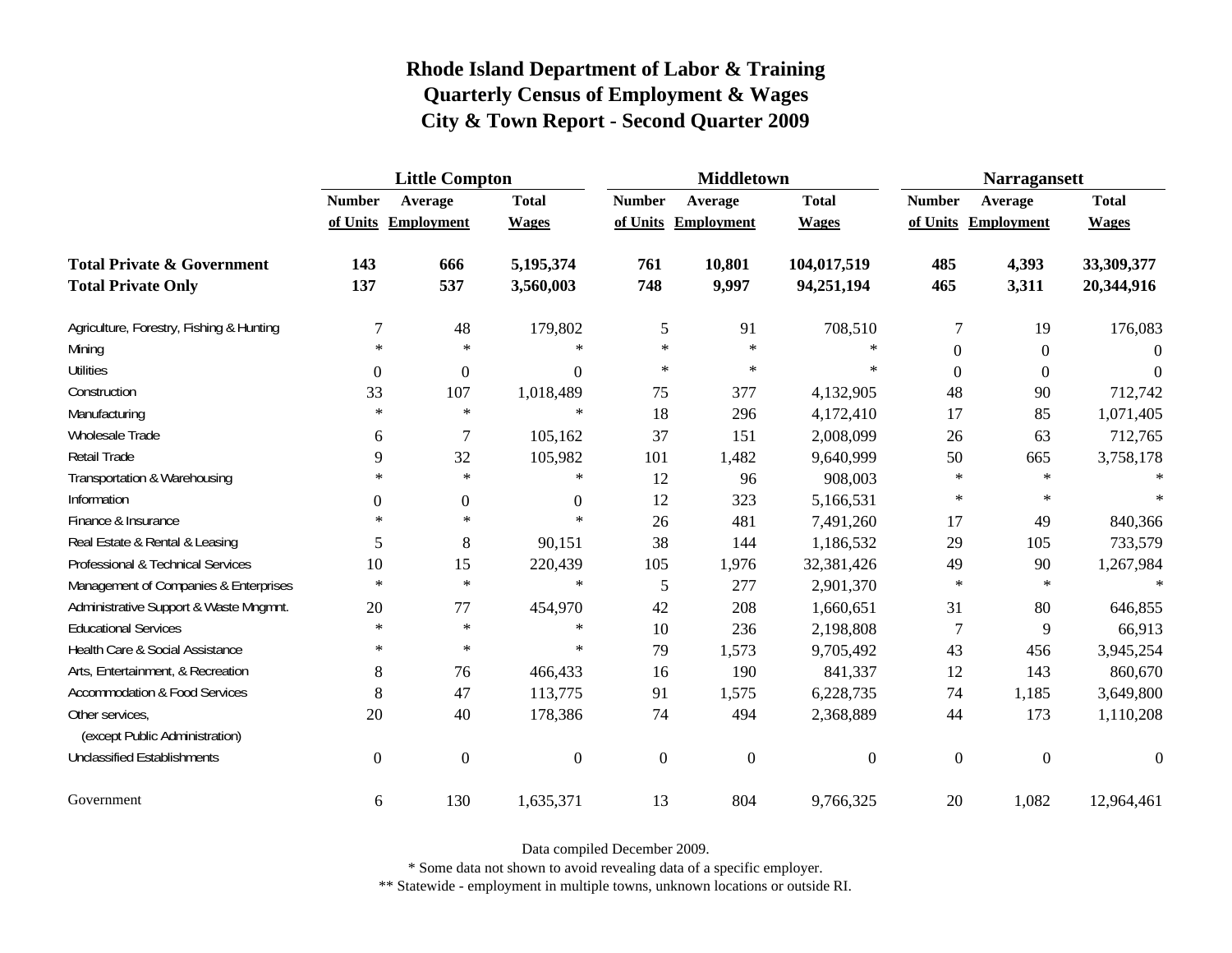|                                                   | <b>Little Compton</b> |                     |                  |               | <b>Middletown</b>   |                | <b>Narragansett</b> |                     |              |
|---------------------------------------------------|-----------------------|---------------------|------------------|---------------|---------------------|----------------|---------------------|---------------------|--------------|
|                                                   | <b>Number</b>         | Average             | <b>Total</b>     | <b>Number</b> | Average             | <b>Total</b>   | <b>Number</b>       | Average             | <b>Total</b> |
|                                                   |                       | of Units Employment | <b>Wages</b>     |               | of Units Employment | <b>Wages</b>   |                     | of Units Employment | <b>Wages</b> |
| <b>Total Private &amp; Government</b>             | 143                   | 666                 | 5,195,374        | 761           | 10,801              | 104,017,519    | 485                 | 4,393               | 33,309,377   |
| <b>Total Private Only</b>                         | 137                   | 537                 | 3,560,003        | 748           | 9,997               | 94,251,194     | 465                 | 3,311               | 20,344,916   |
| Agriculture, Forestry, Fishing & Hunting          | 7                     | 48                  | 179,802          | 5             | 91                  | 708,510        | 7                   | 19                  | 176,083      |
| Mining                                            | $\ast$                | $\ast$              | $\ast$           | $\star$       | $\ast$              | $\ast$         | $\boldsymbol{0}$    | $\boldsymbol{0}$    | $\Omega$     |
| <b>Utilities</b>                                  | $\boldsymbol{0}$      | $\boldsymbol{0}$    | $\boldsymbol{0}$ | $\star$       | $\ast$              | $\ast$         | $\boldsymbol{0}$    | $\boldsymbol{0}$    | $\Omega$     |
| Construction                                      | 33                    | 107                 | 1,018,489        | 75            | 377                 | 4,132,905      | 48                  | 90                  | 712,742      |
| Manufacturing                                     | $\ast$                | $\ast$              | $\ast$           | 18            | 296                 | 4,172,410      | 17                  | 85                  | 1,071,405    |
| Wholesale Trade                                   | 6                     | $\tau$              | 105,162          | 37            | 151                 | 2,008,099      | 26                  | 63                  | 712,765      |
| Retail Trade                                      | 9                     | 32                  | 105,982          | 101           | 1,482               | 9,640,999      | 50                  | 665                 | 3,758,178    |
| Transportation & Warehousing                      | $\ast$                | $\ast$              | $\ast$           | 12            | 96                  | 908,003        | $\ast$              | $\ast$              | $\ast$       |
| Information                                       | $\boldsymbol{0}$      | $\boldsymbol{0}$    | $\mathbf{0}$     | 12            | 323                 | 5,166,531      | $\ast$              | $\ast$              |              |
| Finance & Insurance                               | $\ast$                | $\ast$              | $\ast$           | 26            | 481                 | 7,491,260      | 17                  | 49                  | 840,366      |
| Real Estate & Rental & Leasing                    | 5                     | $8\,$               | 90,151           | 38            | 144                 | 1,186,532      | 29                  | 105                 | 733,579      |
| Professional & Technical Services                 | 10                    | 15                  | 220,439          | 105           | 1,976               | 32,381,426     | 49                  | 90                  | 1,267,984    |
| Management of Companies & Enterprises             | $\ast$                | $\ast$              | $\ast$           | 5             | 277                 | 2,901,370      | $\ast$              | $\ast$              | $\ast$       |
| Administrative Support & Waste Mngmnt.            | 20                    | 77                  | 454,970          | 42            | 208                 | 1,660,651      | 31                  | 80                  | 646,855      |
| <b>Educational Services</b>                       | $\ast$                | $\ast$              | $\ast$           | 10            | 236                 | 2,198,808      | 7                   | 9                   | 66,913       |
| Health Care & Social Assistance                   | $\ast$                | $\ast$              | $\ast$           | 79            | 1,573               | 9,705,492      | 43                  | 456                 | 3,945,254    |
| Arts, Entertainment, & Recreation                 | 8                     | 76                  | 466,433          | 16            | 190                 | 841,337        | 12                  | 143                 | 860,670      |
| <b>Accommodation &amp; Food Services</b>          | 8                     | 47                  | 113,775          | 91            | 1,575               | 6,228,735      | 74                  | 1,185               | 3,649,800    |
| Other services,<br>(except Public Administration) | 20                    | 40                  | 178,386          | 74            | 494                 | 2,368,889      | 44                  | 173                 | 1,110,208    |
| <b>Unclassified Establishments</b>                | $\boldsymbol{0}$      | $\boldsymbol{0}$    | $\boldsymbol{0}$ | $\mathbf{0}$  | $\overline{0}$      | $\overline{0}$ | $\overline{0}$      | $\boldsymbol{0}$    | $\Omega$     |
| Government                                        | 6                     | 130                 | 1,635,371        | 13            | 804                 | 9,766,325      | 20                  | 1,082               | 12,964,461   |

Data compiled December 2009.

\* Some data not shown to avoid revealing data of a specific employer.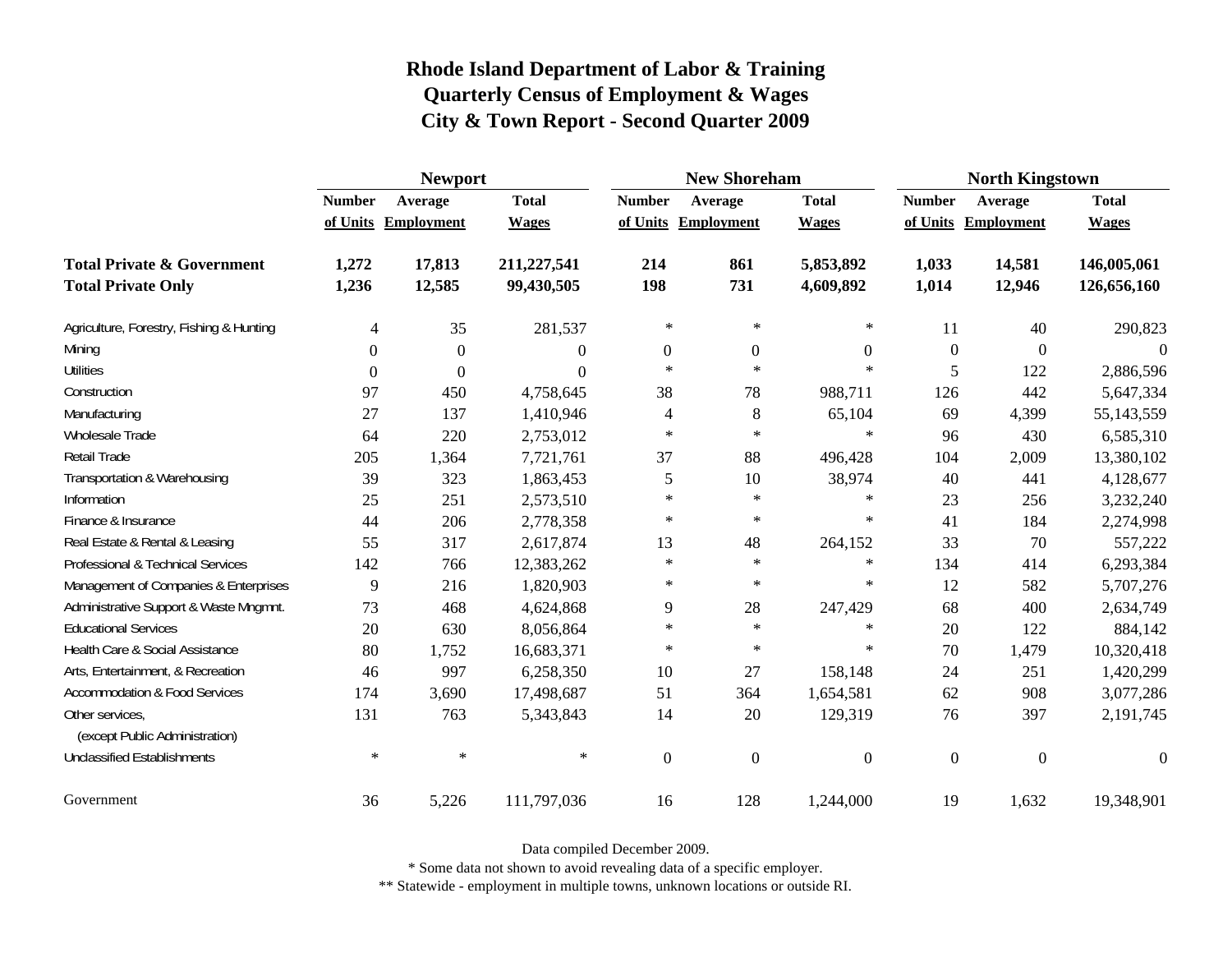|                                                   | <b>Newport</b>   |                     |              |                | <b>New Shoreham</b> |                  | <b>North Kingstown</b> |                   |                  |
|---------------------------------------------------|------------------|---------------------|--------------|----------------|---------------------|------------------|------------------------|-------------------|------------------|
|                                                   | <b>Number</b>    | Average             | <b>Total</b> | <b>Number</b>  | Average             | <b>Total</b>     | <b>Number</b>          | Average           | <b>Total</b>     |
|                                                   |                  | of Units Employment | <b>Wages</b> | of Units       | <b>Employment</b>   | <b>Wages</b>     | of Units               | <b>Employment</b> | <b>Wages</b>     |
| <b>Total Private &amp; Government</b>             | 1,272            | 17,813              | 211,227,541  | 214            | 861                 | 5,853,892        | 1,033                  | 14,581            | 146,005,061      |
| <b>Total Private Only</b>                         | 1,236            | 12,585              | 99,430,505   | 198            | 731                 | 4,609,892        | 1,014                  | 12,946            | 126,656,160      |
| Agriculture, Forestry, Fishing & Hunting          | 4                | 35                  | 281,537      | $\ast$         | $\ast$              | $\ast$           | 11                     | 40                | 290,823          |
| Mining                                            | $\Omega$         | $\Omega$            | $\Omega$     | $\overline{0}$ | $\boldsymbol{0}$    | $\boldsymbol{0}$ | $\mathbf{0}$           | $\Omega$          |                  |
| <b>Utilities</b>                                  | $\boldsymbol{0}$ | $\Omega$            | $\Omega$     | $\ast$         | $\ast$              | $\ast$           | 5                      | 122               | 2,886,596        |
| Construction                                      | 97               | 450                 | 4,758,645    | 38             | 78                  | 988,711          | 126                    | 442               | 5,647,334        |
| Manufacturing                                     | 27               | 137                 | 1,410,946    | 4              | $\,8\,$             | 65,104           | 69                     | 4,399             | 55, 143, 559     |
| <b>Wholesale Trade</b>                            | 64               | 220                 | 2,753,012    | $\ast$         | $\ast$              | $\ast$           | 96                     | 430               | 6,585,310        |
| Retail Trade                                      | 205              | 1,364               | 7,721,761    | 37             | 88                  | 496,428          | 104                    | 2,009             | 13,380,102       |
| Transportation & Warehousing                      | 39               | 323                 | 1,863,453    | 5              | 10                  | 38,974           | 40                     | 441               | 4,128,677        |
| Information                                       | 25               | 251                 | 2,573,510    | $\ast$         | $\ast$              | ∗                | 23                     | 256               | 3,232,240        |
| Finance & Insurance                               | 44               | 206                 | 2,778,358    | $\ast$         | $\ast$              | $\ast$           | 41                     | 184               | 2,274,998        |
| Real Estate & Rental & Leasing                    | 55               | 317                 | 2,617,874    | 13             | 48                  | 264,152          | 33                     | 70                | 557,222          |
| Professional & Technical Services                 | 142              | 766                 | 12,383,262   | $\star$        | $\ast$              | $\ast$           | 134                    | 414               | 6,293,384        |
| Management of Companies & Enterprises             | 9                | 216                 | 1,820,903    | $\ast$         | $\ast$              | $\ast$           | 12                     | 582               | 5,707,276        |
| Administrative Support & Waste Mngmnt.            | 73               | 468                 | 4,624,868    | 9              | 28                  | 247,429          | 68                     | 400               | 2,634,749        |
| <b>Educational Services</b>                       | 20               | 630                 | 8,056,864    | $\ast$         | $\ast$              | $\ast$           | 20                     | 122               | 884,142          |
| Health Care & Social Assistance                   | 80               | 1,752               | 16,683,371   | $\ast$         | $\ast$              | $\ast$           | 70                     | 1,479             | 10,320,418       |
| Arts, Entertainment, & Recreation                 | 46               | 997                 | 6,258,350    | 10             | 27                  | 158,148          | 24                     | 251               | 1,420,299        |
| <b>Accommodation &amp; Food Services</b>          | 174              | 3,690               | 17,498,687   | 51             | 364                 | 1,654,581        | 62                     | 908               | 3,077,286        |
| Other services,<br>(except Public Administration) | 131              | 763                 | 5,343,843    | 14             | 20                  | 129,319          | 76                     | 397               | 2,191,745        |
| <b>Unclassified Establishments</b>                | $\ast$           | $\ast$              | $\ast$       | $\mathbf{0}$   | $\mathbf{0}$        | $\boldsymbol{0}$ | $\boldsymbol{0}$       | $\mathbf{0}$      | $\boldsymbol{0}$ |
| Government                                        | 36               | 5,226               | 111,797,036  | 16             | 128                 | 1,244,000        | 19                     | 1,632             | 19,348,901       |

Data compiled December 2009.

\* Some data not shown to avoid revealing data of a specific employer.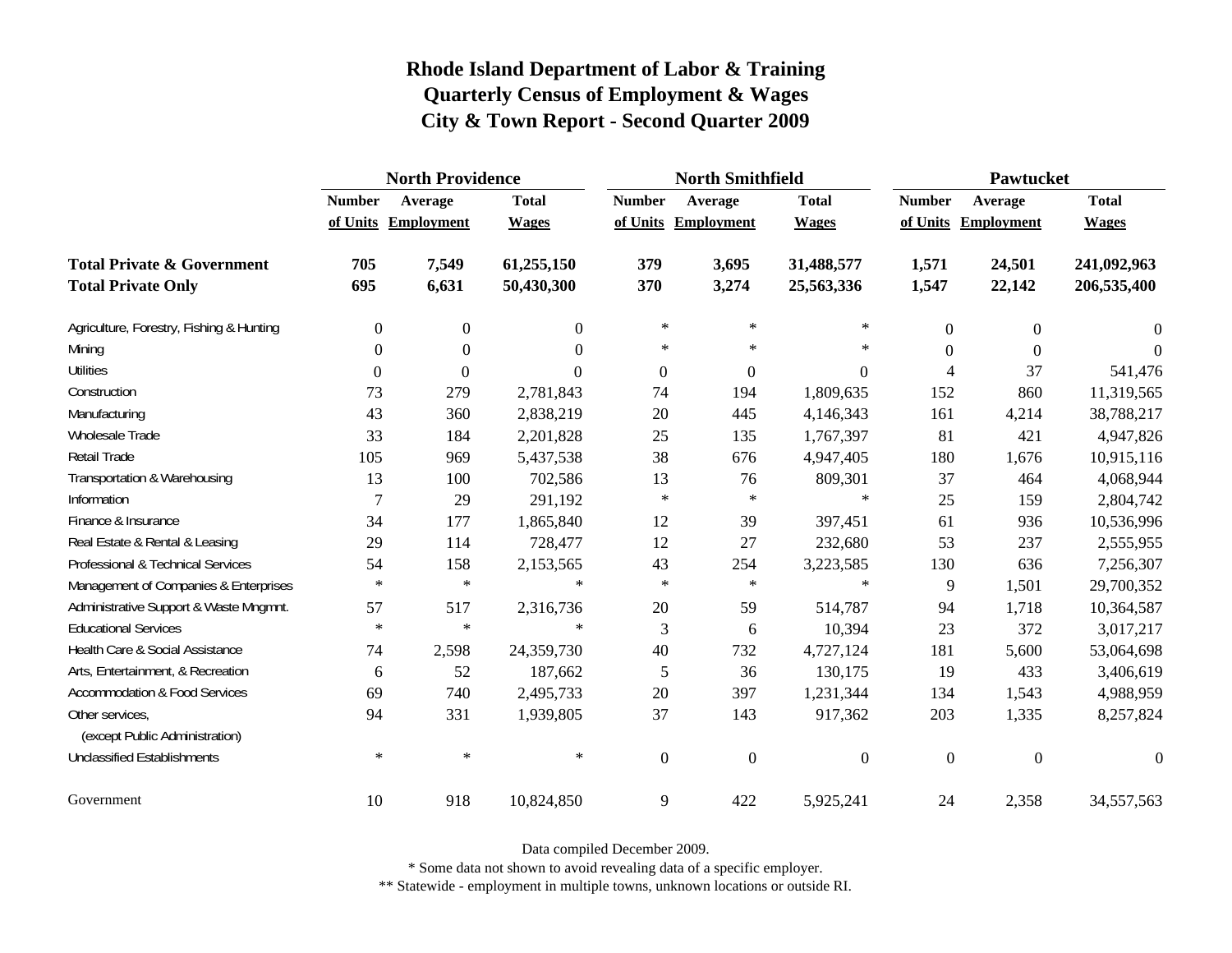|                                                   | <b>North Providence</b> |                     |              |                  | <b>North Smithfield</b> |                  | Pawtucket      |                     |                |
|---------------------------------------------------|-------------------------|---------------------|--------------|------------------|-------------------------|------------------|----------------|---------------------|----------------|
|                                                   | <b>Number</b>           | Average             | <b>Total</b> | <b>Number</b>    | Average                 | <b>Total</b>     | <b>Number</b>  | Average             | <b>Total</b>   |
|                                                   |                         | of Units Employment | <b>Wages</b> |                  | of Units Employment     | <b>Wages</b>     |                | of Units Employment | <b>Wages</b>   |
| <b>Total Private &amp; Government</b>             | 705                     | 7,549               | 61,255,150   | 379              | 3,695                   | 31,488,577       | 1,571          | 24,501              | 241,092,963    |
| <b>Total Private Only</b>                         | 695                     | 6,631               | 50,430,300   | 370              | 3,274                   | 25,563,336       | 1,547          | 22,142              | 206,535,400    |
| Agriculture, Forestry, Fishing & Hunting          | $\boldsymbol{0}$        | $\boldsymbol{0}$    | $\Omega$     | $\ast$           | $\ast$                  | ∗                | $\mathbf{0}$   | $\overline{0}$      | $\overline{0}$ |
| Mining                                            | $\Omega$                | $\Omega$            | $\Omega$     | $\ast$           | $\ast$                  | $\ast$           | $\Omega$       | $\Omega$            | $\Omega$       |
| <b>Utilities</b>                                  | $\Omega$                | $\theta$            | $\Omega$     | $\boldsymbol{0}$ | $\overline{0}$          | $\Omega$         | 4              | 37                  | 541,476        |
| Construction                                      | 73                      | 279                 | 2,781,843    | 74               | 194                     | 1,809,635        | 152            | 860                 | 11,319,565     |
| Manufacturing                                     | 43                      | 360                 | 2,838,219    | 20               | 445                     | 4,146,343        | 161            | 4,214               | 38,788,217     |
| Wholesale Trade                                   | 33                      | 184                 | 2,201,828    | 25               | 135                     | 1,767,397        | 81             | 421                 | 4,947,826      |
| Retail Trade                                      | 105                     | 969                 | 5,437,538    | 38               | 676                     | 4,947,405        | 180            | 1,676               | 10,915,116     |
| Transportation & Warehousing                      | 13                      | 100                 | 702,586      | 13               | 76                      | 809,301          | 37             | 464                 | 4,068,944      |
| Information                                       | $\overline{7}$          | 29                  | 291,192      | $\ast$           | $\ast$                  | $\ast$           | 25             | 159                 | 2,804,742      |
| Finance & Insurance                               | 34                      | 177                 | 1,865,840    | 12               | 39                      | 397,451          | 61             | 936                 | 10,536,996     |
| Real Estate & Rental & Leasing                    | 29                      | 114                 | 728,477      | 12               | 27                      | 232,680          | 53             | 237                 | 2,555,955      |
| Professional & Technical Services                 | 54                      | 158                 | 2,153,565    | 43               | 254                     | 3,223,585        | 130            | 636                 | 7,256,307      |
| Management of Companies & Enterprises             | $\ast$                  | $\ast$              | $\ast$       | $\ast$           | $\ast$                  | $\ast$           | 9              | 1,501               | 29,700,352     |
| Administrative Support & Waste Mngmnt.            | 57                      | 517                 | 2,316,736    | 20               | 59                      | 514,787          | 94             | 1,718               | 10,364,587     |
| <b>Educational Services</b>                       | $\ast$                  | $\ast$              | $\ast$       | 3                | 6                       | 10,394           | 23             | 372                 | 3,017,217      |
| Health Care & Social Assistance                   | 74                      | 2,598               | 24,359,730   | 40               | 732                     | 4,727,124        | 181            | 5,600               | 53,064,698     |
| Arts, Entertainment, & Recreation                 | 6                       | 52                  | 187,662      | 5                | 36                      | 130,175          | 19             | 433                 | 3,406,619      |
| <b>Accommodation &amp; Food Services</b>          | 69                      | 740                 | 2,495,733    | 20               | 397                     | 1,231,344        | 134            | 1,543               | 4,988,959      |
| Other services,<br>(except Public Administration) | 94                      | 331                 | 1,939,805    | 37               | 143                     | 917,362          | 203            | 1,335               | 8,257,824      |
| <b>Unclassified Establishments</b>                | $\ast$                  | $\ast$              | $\ast$       | $\boldsymbol{0}$ | $\boldsymbol{0}$        | $\boldsymbol{0}$ | $\overline{0}$ | $\boldsymbol{0}$    | $\theta$       |
| Government                                        | 10                      | 918                 | 10,824,850   | 9                | 422                     | 5,925,241        | 24             | 2,358               | 34,557,563     |

Data compiled December 2009.

\* Some data not shown to avoid revealing data of a specific employer.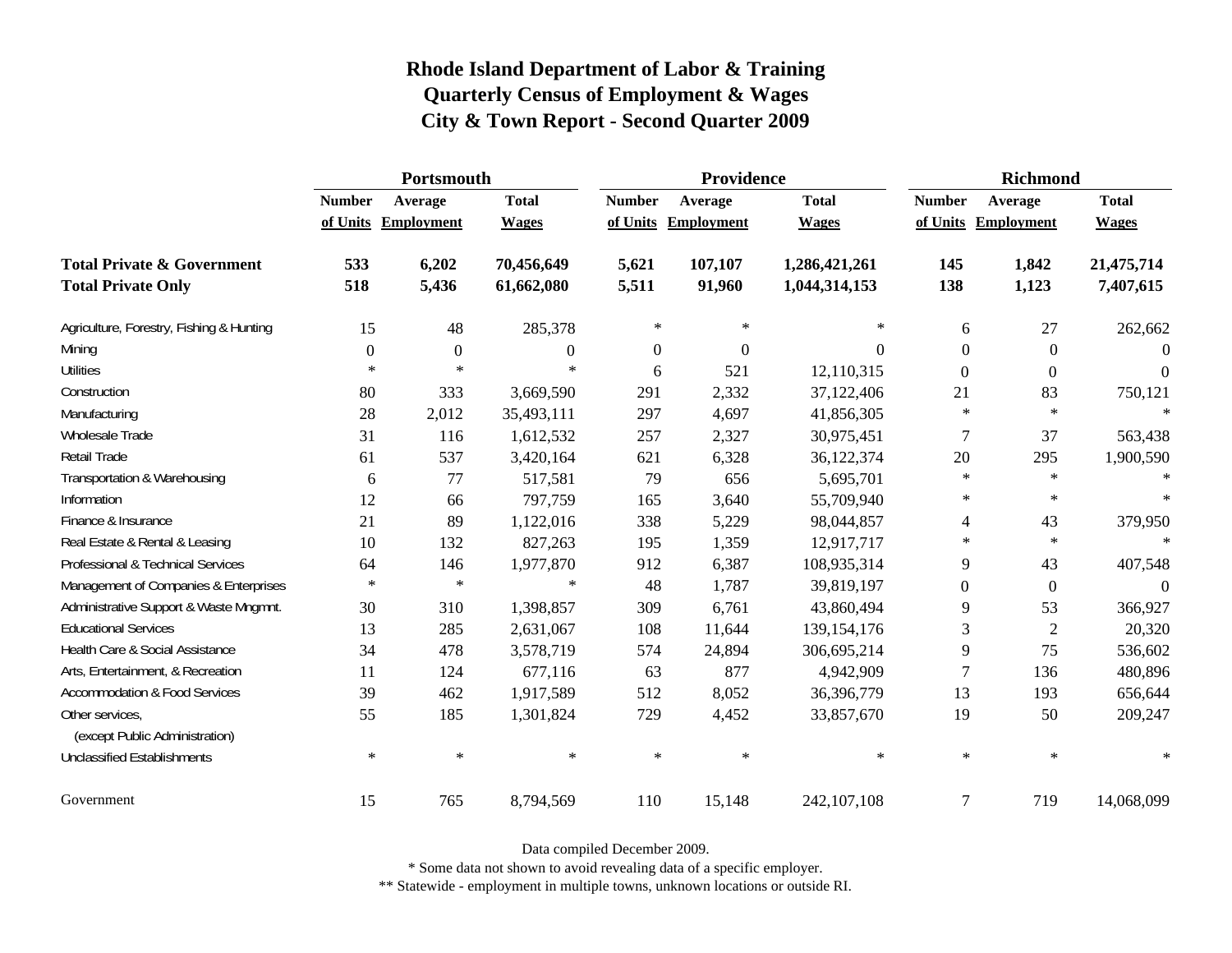|                                                   | Portsmouth    |                     |                  |                  | Providence          |               | <b>Richmond</b> |                     |              |
|---------------------------------------------------|---------------|---------------------|------------------|------------------|---------------------|---------------|-----------------|---------------------|--------------|
|                                                   | <b>Number</b> | Average             | <b>Total</b>     | <b>Number</b>    | Average             | <b>Total</b>  | <b>Number</b>   | Average             | <b>Total</b> |
|                                                   |               | of Units Employment | <b>Wages</b>     |                  | of Units Employment | <b>Wages</b>  |                 | of Units Employment | <b>Wages</b> |
| <b>Total Private &amp; Government</b>             | 533           | 6,202               | 70,456,649       | 5,621            | 107,107             | 1,286,421,261 | 145             | 1,842               | 21,475,714   |
| <b>Total Private Only</b>                         | 518           | 5,436               | 61,662,080       | 5,511            | 91,960              | 1,044,314,153 | 138             | 1,123               | 7,407,615    |
| Agriculture, Forestry, Fishing & Hunting          | 15            | 48                  | 285,378          | $\ast$           | $\ast$              | $\ast$        | 6               | 27                  | 262,662      |
| Mining                                            | $\Omega$      | $\overline{0}$      | $\boldsymbol{0}$ | $\boldsymbol{0}$ | $\mathbf{0}$        | $\Omega$      | $\Omega$        | $\mathbf{0}$        | $\Omega$     |
| <b>Utilities</b>                                  | $\ast$        | $\ast$              | ∗                | 6                | 521                 | 12,110,315    | $\Omega$        | $\theta$            | $\theta$     |
| Construction                                      | 80            | 333                 | 3,669,590        | 291              | 2,332               | 37,122,406    | 21              | 83                  | 750,121      |
| Manufacturing                                     | 28            | 2,012               | 35,493,111       | 297              | 4,697               | 41,856,305    | $\ast$          | $\star$             | $\ast$       |
| Wholesale Trade                                   | 31            | 116                 | 1,612,532        | 257              | 2,327               | 30,975,451    | $\overline{7}$  | 37                  | 563,438      |
| <b>Retail Trade</b>                               | 61            | 537                 | 3,420,164        | 621              | 6,328               | 36,122,374    | 20              | 295                 | 1,900,590    |
| Transportation & Warehousing                      | 6             | 77                  | 517,581          | 79               | 656                 | 5,695,701     | $\ast$          | $\ast$              | $\ast$       |
| Information                                       | 12            | 66                  | 797,759          | 165              | 3,640               | 55,709,940    | $\ast$          | $\ast$              | $\ast$       |
| Finance & Insurance                               | 21            | 89                  | 1,122,016        | 338              | 5,229               | 98,044,857    | 4               | 43                  | 379,950      |
| Real Estate & Rental & Leasing                    | 10            | 132                 | 827,263          | 195              | 1,359               | 12,917,717    | $\ast$          | $\ast$              | $\ast$       |
| Professional & Technical Services                 | 64            | 146                 | 1,977,870        | 912              | 6,387               | 108,935,314   | 9               | 43                  | 407,548      |
| Management of Companies & Enterprises             | $\ast$        | $\ast$              | $\ast$           | 48               | 1,787               | 39,819,197    | $\Omega$        | $\mathbf{0}$        | $\Omega$     |
| Administrative Support & Waste Mngmnt.            | 30            | 310                 | 1,398,857        | 309              | 6,761               | 43,860,494    | 9               | 53                  | 366,927      |
| <b>Educational Services</b>                       | 13            | 285                 | 2,631,067        | 108              | 11,644              | 139, 154, 176 | 3               | $\mathbf{2}$        | 20,320       |
| Health Care & Social Assistance                   | 34            | 478                 | 3,578,719        | 574              | 24,894              | 306,695,214   | 9               | 75                  | 536,602      |
| Arts, Entertainment, & Recreation                 | 11            | 124                 | 677,116          | 63               | 877                 | 4,942,909     | $\overline{7}$  | 136                 | 480,896      |
| <b>Accommodation &amp; Food Services</b>          | 39            | 462                 | 1,917,589        | 512              | 8,052               | 36,396,779    | 13              | 193                 | 656,644      |
| Other services,<br>(except Public Administration) | 55            | 185                 | 1,301,824        | 729              | 4,452               | 33,857,670    | 19              | 50                  | 209,247      |
| <b>Unclassified Establishments</b>                | $\ast$        | $\ast$              | $\ast$           | $\ast$           | $\ast$              | $\ast$        | $\ast$          | $\ast$              | $\ast$       |
| Government                                        | 15            | 765                 | 8,794,569        | 110              | 15,148              | 242,107,108   | $\overline{7}$  | 719                 | 14,068,099   |

Data compiled December 2009.

\* Some data not shown to avoid revealing data of a specific employer.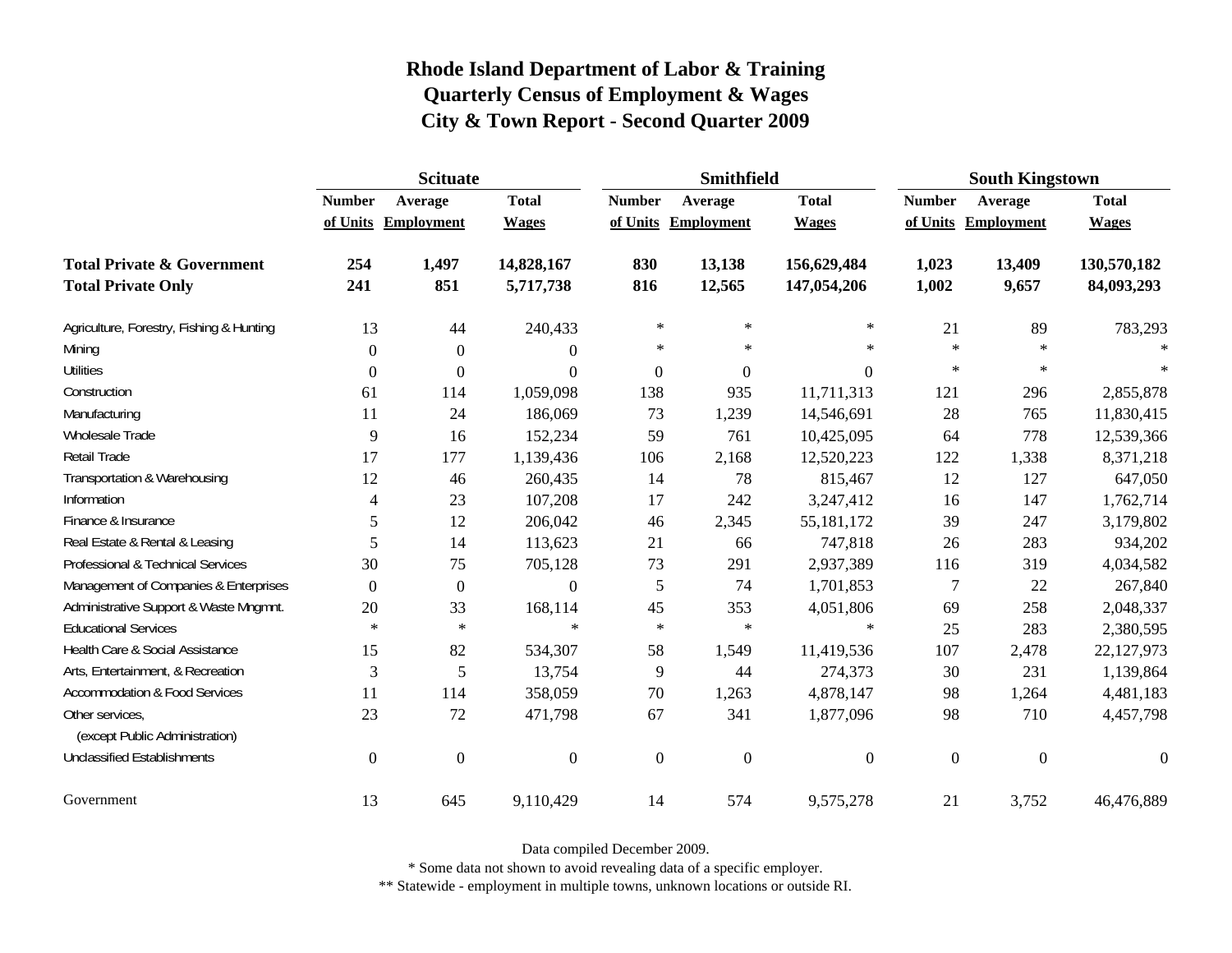|                                                   | <b>Scituate</b> |                     |                  |                  | <b>Smithfield</b> |                  | <b>South Kingstown</b> |                |                  |
|---------------------------------------------------|-----------------|---------------------|------------------|------------------|-------------------|------------------|------------------------|----------------|------------------|
|                                                   | <b>Number</b>   | Average             | <b>Total</b>     | <b>Number</b>    | Average           | <b>Total</b>     | <b>Number</b>          | Average        | <b>Total</b>     |
|                                                   |                 | of Units Employment | <b>Wages</b>     | of Units         | Employment        | <b>Wages</b>     | of Units               | Employment     | <b>Wages</b>     |
| <b>Total Private &amp; Government</b>             | 254             | 1,497               | 14,828,167       | 830              | 13,138            | 156,629,484      | 1,023                  | 13,409         | 130,570,182      |
| <b>Total Private Only</b>                         | 241             | 851                 | 5,717,738        | 816              | 12,565            | 147,054,206      | 1,002                  | 9,657          | 84,093,293       |
| Agriculture, Forestry, Fishing & Hunting          | 13              | 44                  | 240,433          | $\ast$           | $\ast$            | $\ast$           | 21                     | 89             | 783,293          |
| Mining                                            | $\Omega$        | $\theta$            | $\boldsymbol{0}$ | $\ast$           | $\ast$            | $\star$          | $\ast$                 | $\ast$         | $\ast$           |
| <b>Utilities</b>                                  | $\mathbf{0}$    | $\Omega$            | $\boldsymbol{0}$ | $\boldsymbol{0}$ | $\theta$          | $\boldsymbol{0}$ | $\ast$                 | $\ast$         | $\ast$           |
| Construction                                      | 61              | 114                 | 1,059,098        | 138              | 935               | 11,711,313       | 121                    | 296            | 2,855,878        |
| Manufacturing                                     | 11              | 24                  | 186,069          | 73               | 1,239             | 14,546,691       | 28                     | 765            | 11,830,415       |
| Wholesale Trade                                   | 9               | 16                  | 152,234          | 59               | 761               | 10,425,095       | 64                     | 778            | 12,539,366       |
| Retail Trade                                      | 17              | 177                 | 1,139,436        | 106              | 2,168             | 12,520,223       | 122                    | 1,338          | 8,371,218        |
| Transportation & Warehousing                      | 12              | 46                  | 260,435          | 14               | 78                | 815,467          | 12                     | 127            | 647,050          |
| Information                                       | 4               | 23                  | 107,208          | 17               | 242               | 3,247,412        | 16                     | 147            | 1,762,714        |
| Finance & Insurance                               | 5               | 12                  | 206,042          | 46               | 2,345             | 55,181,172       | 39                     | 247            | 3,179,802        |
| Real Estate & Rental & Leasing                    | 5               | 14                  | 113,623          | 21               | 66                | 747,818          | 26                     | 283            | 934,202          |
| Professional & Technical Services                 | 30              | 75                  | 705,128          | 73               | 291               | 2,937,389        | 116                    | 319            | 4,034,582        |
| Management of Companies & Enterprises             | $\Omega$        | $\theta$            | $\theta$         | 5                | 74                | 1,701,853        | 7                      | 22             | 267,840          |
| Administrative Support & Waste Mngmnt.            | 20              | 33                  | 168,114          | 45               | 353               | 4,051,806        | 69                     | 258            | 2,048,337        |
| <b>Educational Services</b>                       | $\ast$          | $\ast$              | $\ast$           | $\ast$           | $\ast$            | $\ast$           | 25                     | 283            | 2,380,595        |
| Health Care & Social Assistance                   | 15              | 82                  | 534,307          | 58               | 1,549             | 11,419,536       | 107                    | 2,478          | 22,127,973       |
| Arts, Entertainment, & Recreation                 | 3               | 5                   | 13,754           | 9                | 44                | 274,373          | 30                     | 231            | 1,139,864        |
| <b>Accommodation &amp; Food Services</b>          | 11              | 114                 | 358,059          | 70               | 1,263             | 4,878,147        | 98                     | 1,264          | 4,481,183        |
| Other services,<br>(except Public Administration) | 23              | 72                  | 471,798          | 67               | 341               | 1,877,096        | 98                     | 710            | 4,457,798        |
| <b>Unclassified Establishments</b>                | $\Omega$        | $\theta$            | $\overline{0}$   | $\overline{0}$   | $\boldsymbol{0}$  | $\boldsymbol{0}$ | $\boldsymbol{0}$       | $\overline{0}$ | $\boldsymbol{0}$ |
| Government                                        | 13              | 645                 | 9,110,429        | 14               | 574               | 9,575,278        | 21                     | 3,752          | 46,476,889       |

Data compiled December 2009.

\* Some data not shown to avoid revealing data of a specific employer.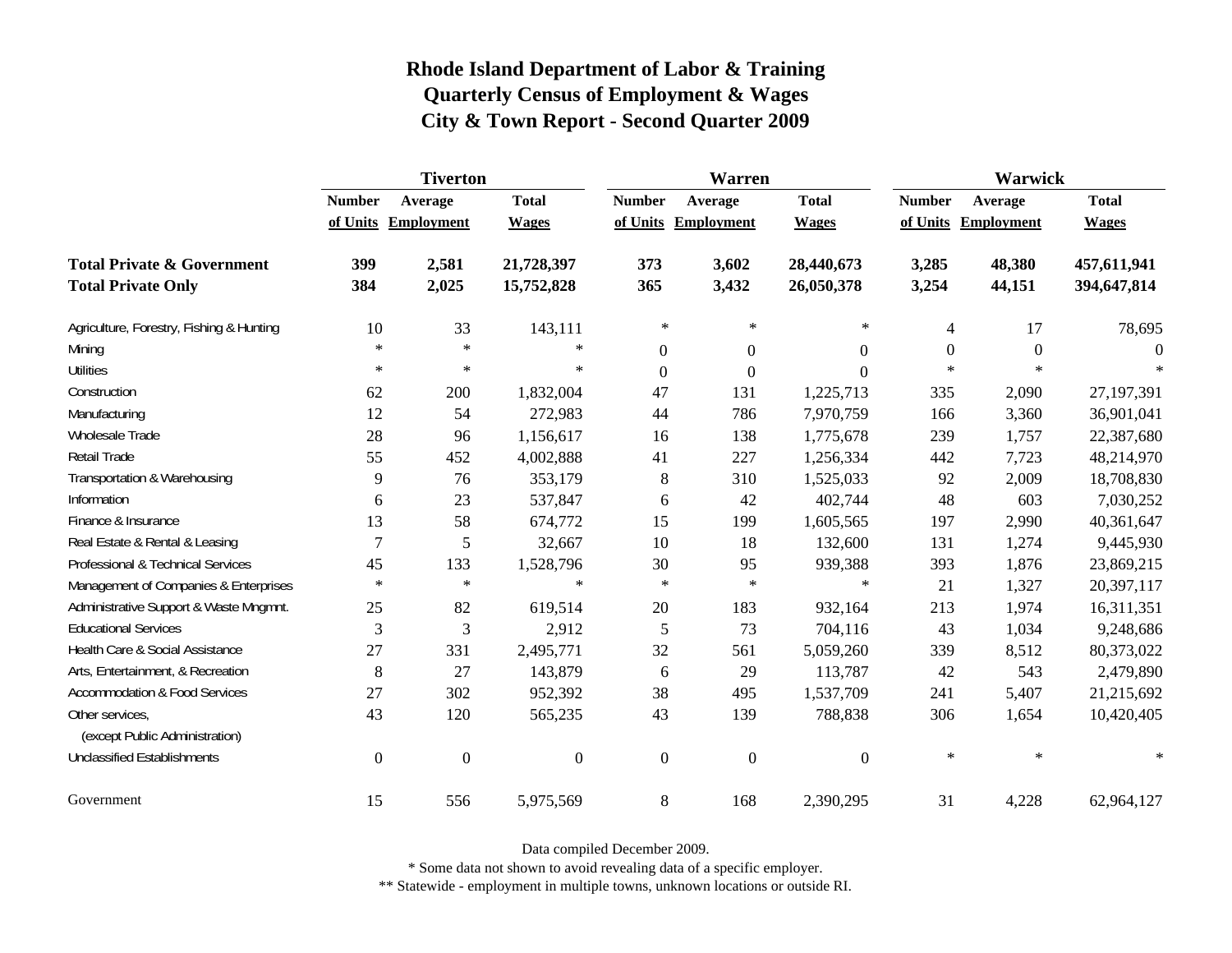|                                                   | <b>Tiverton</b>  |                     |                  |                  | Warren              |                  | Warwick          |                     |              |  |
|---------------------------------------------------|------------------|---------------------|------------------|------------------|---------------------|------------------|------------------|---------------------|--------------|--|
|                                                   | <b>Number</b>    | Average             | <b>Total</b>     | <b>Number</b>    | Average             | <b>Total</b>     | <b>Number</b>    | Average             | <b>Total</b> |  |
|                                                   |                  | of Units Employment | <b>Wages</b>     |                  | of Units Employment | <b>Wages</b>     |                  | of Units Employment | <b>Wages</b> |  |
| <b>Total Private &amp; Government</b>             | 399              | 2,581               | 21,728,397       | 373              | 3,602               | 28,440,673       | 3,285            | 48,380              | 457,611,941  |  |
| <b>Total Private Only</b>                         | 384              | 2,025               | 15,752,828       | 365              | 3,432               | 26,050,378       | 3,254            | 44,151              | 394,647,814  |  |
| Agriculture, Forestry, Fishing & Hunting          | 10               | 33                  | 143,111          | $\ast$           | $\ast$              | $\ast$           | $\overline{4}$   | 17                  | 78,695       |  |
| Mining                                            | $\ast$           | $\ast$              | $\ast$           | $\boldsymbol{0}$ | $\boldsymbol{0}$    | $\boldsymbol{0}$ | $\boldsymbol{0}$ | $\overline{0}$      | $\Omega$     |  |
| <b>Utilities</b>                                  | $\ast$           | $\ast$              | $\ast$           | $\overline{0}$   | $\boldsymbol{0}$    | $\overline{0}$   | $*$              | $\ast$              |              |  |
| Construction                                      | 62               | 200                 | 1,832,004        | 47               | 131                 | 1,225,713        | 335              | 2,090               | 27,197,391   |  |
| Manufacturing                                     | 12               | 54                  | 272,983          | 44               | 786                 | 7,970,759        | 166              | 3,360               | 36,901,041   |  |
| Wholesale Trade                                   | 28               | 96                  | 1,156,617        | 16               | 138                 | 1,775,678        | 239              | 1,757               | 22,387,680   |  |
| Retail Trade                                      | 55               | 452                 | 4,002,888        | 41               | 227                 | 1,256,334        | 442              | 7,723               | 48,214,970   |  |
| Transportation & Warehousing                      | 9                | 76                  | 353,179          | 8                | 310                 | 1,525,033        | 92               | 2,009               | 18,708,830   |  |
| Information                                       | 6                | 23                  | 537,847          | 6                | 42                  | 402,744          | 48               | 603                 | 7,030,252    |  |
| Finance & Insurance                               | 13               | 58                  | 674,772          | 15               | 199                 | 1,605,565        | 197              | 2,990               | 40,361,647   |  |
| Real Estate & Rental & Leasing                    | 7                | 5                   | 32,667           | 10               | 18                  | 132,600          | 131              | 1,274               | 9,445,930    |  |
| Professional & Technical Services                 | 45               | 133                 | 1,528,796        | 30               | 95                  | 939,388          | 393              | 1,876               | 23,869,215   |  |
| Management of Companies & Enterprises             | $\ast$           | $\ast$              | $\ast$           | $\ast$           | $\ast$              | $\ast$           | 21               | 1,327               | 20,397,117   |  |
| Administrative Support & Waste Mngmnt.            | 25               | 82                  | 619,514          | 20               | 183                 | 932,164          | 213              | 1,974               | 16,311,351   |  |
| <b>Educational Services</b>                       | 3                | 3                   | 2,912            | 5                | 73                  | 704,116          | 43               | 1,034               | 9,248,686    |  |
| Health Care & Social Assistance                   | 27               | 331                 | 2,495,771        | 32               | 561                 | 5,059,260        | 339              | 8,512               | 80,373,022   |  |
| Arts, Entertainment, & Recreation                 | 8                | 27                  | 143,879          | 6                | 29                  | 113,787          | 42               | 543                 | 2,479,890    |  |
| <b>Accommodation &amp; Food Services</b>          | 27               | 302                 | 952,392          | 38               | 495                 | 1,537,709        | 241              | 5,407               | 21,215,692   |  |
| Other services,<br>(except Public Administration) | 43               | 120                 | 565,235          | 43               | 139                 | 788,838          | 306              | 1,654               | 10,420,405   |  |
| <b>Unclassified Establishments</b>                | $\boldsymbol{0}$ | $\boldsymbol{0}$    | $\boldsymbol{0}$ | $\boldsymbol{0}$ | $\boldsymbol{0}$    | $\overline{0}$   | $\ast$           | $\ast$              | $\ast$       |  |
| Government                                        | 15               | 556                 | 5,975,569        | 8                | 168                 | 2,390,295        | 31               | 4,228               | 62,964,127   |  |

Data compiled December 2009.

\* Some data not shown to avoid revealing data of a specific employer.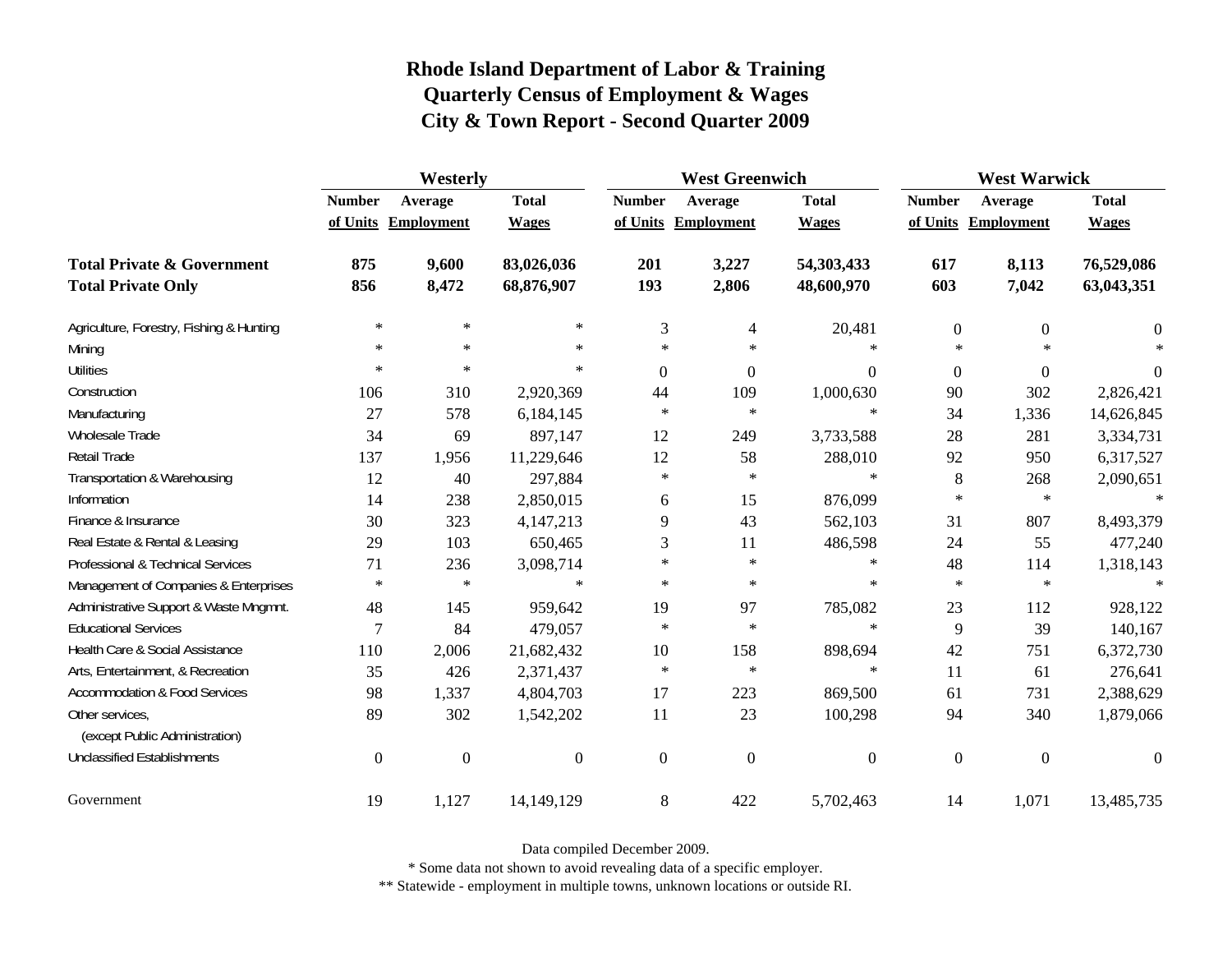|                                                   | Westerly         |                     |                  |                  | <b>West Greenwich</b> |                | <b>West Warwick</b> |                     |                |  |
|---------------------------------------------------|------------------|---------------------|------------------|------------------|-----------------------|----------------|---------------------|---------------------|----------------|--|
|                                                   | <b>Number</b>    | Average             | <b>Total</b>     | <b>Number</b>    | Average               | <b>Total</b>   | <b>Number</b>       | Average             | <b>Total</b>   |  |
|                                                   |                  | of Units Employment | <b>Wages</b>     |                  | of Units Employment   | <b>Wages</b>   |                     | of Units Employment | <b>Wages</b>   |  |
| <b>Total Private &amp; Government</b>             | 875              | 9,600               | 83,026,036       | 201              | 3,227                 | 54,303,433     | 617                 | 8,113               | 76,529,086     |  |
| <b>Total Private Only</b>                         | 856              | 8,472               | 68,876,907       | 193              | 2,806                 | 48,600,970     | 603                 | 7,042               | 63,043,351     |  |
| Agriculture, Forestry, Fishing & Hunting          | $\ast$           | $\ast$              | $\ast$           | 3                | 4                     | 20,481         | $\boldsymbol{0}$    | $\Omega$            | $\Omega$       |  |
| Mining                                            | $\ast$           | $\ast$              | $\ast$           | $\star$          | $\ast$                | $\ast$         | $\ast$              | $\star$             | $\ast$         |  |
| <b>Utilities</b>                                  | $\ast$           | $\ast$              | $\ast$           | $\boldsymbol{0}$ | $\boldsymbol{0}$      | $\theta$       | $\boldsymbol{0}$    | $\overline{0}$      | $\overline{0}$ |  |
| Construction                                      | 106              | 310                 | 2,920,369        | 44               | 109                   | 1,000,630      | 90                  | 302                 | 2,826,421      |  |
| Manufacturing                                     | 27               | 578                 | 6,184,145        | $\ast$           | $\ast$                | $\ast$         | 34                  | 1,336               | 14,626,845     |  |
| Wholesale Trade                                   | 34               | 69                  | 897,147          | 12               | 249                   | 3,733,588      | 28                  | 281                 | 3,334,731      |  |
| Retail Trade                                      | 137              | 1,956               | 11,229,646       | 12               | 58                    | 288,010        | 92                  | 950                 | 6,317,527      |  |
| Transportation & Warehousing                      | 12               | 40                  | 297,884          | $\ast$           | $\ast$                | $\ast$         | 8                   | 268                 | 2,090,651      |  |
| Information                                       | 14               | 238                 | 2,850,015        | 6                | 15                    | 876,099        | $\ast$              | $\ast$              | $\ast$         |  |
| Finance & Insurance                               | 30               | 323                 | 4,147,213        | 9                | 43                    | 562,103        | 31                  | 807                 | 8,493,379      |  |
| Real Estate & Rental & Leasing                    | 29               | 103                 | 650,465          | 3                | 11                    | 486,598        | 24                  | 55                  | 477,240        |  |
| Professional & Technical Services                 | 71               | 236                 | 3,098,714        | $\ast$           | $\ast$                | $\ast$         | 48                  | 114                 | 1,318,143      |  |
| Management of Companies & Enterprises             | $\ast$           | $\ast$              | $\ast$           | $\star$          | $\ast$                | $\ast$         | $\ast$              | $\ast$              | $\ast$         |  |
| Administrative Support & Waste Mngmnt.            | 48               | 145                 | 959,642          | 19               | 97                    | 785,082        | 23                  | 112                 | 928,122        |  |
| <b>Educational Services</b>                       | 7                | 84                  | 479,057          | $\ast$           | $\ast$                | $\ast$         | 9                   | 39                  | 140,167        |  |
| Health Care & Social Assistance                   | 110              | 2,006               | 21,682,432       | 10               | 158                   | 898,694        | 42                  | 751                 | 6,372,730      |  |
| Arts, Entertainment, & Recreation                 | 35               | 426                 | 2,371,437        | $\ast$           | $\ast$                | $\ast$         | 11                  | 61                  | 276,641        |  |
| <b>Accommodation &amp; Food Services</b>          | 98               | 1,337               | 4,804,703        | 17               | 223                   | 869,500        | 61                  | 731                 | 2,388,629      |  |
| Other services,<br>(except Public Administration) | 89               | 302                 | 1,542,202        | 11               | 23                    | 100,298        | 94                  | 340                 | 1,879,066      |  |
| <b>Unclassified Establishments</b>                | $\boldsymbol{0}$ | $\boldsymbol{0}$    | $\boldsymbol{0}$ | $\mathbf{0}$     | $\boldsymbol{0}$      | $\overline{0}$ | $\boldsymbol{0}$    | $\overline{0}$      | $\Omega$       |  |
| Government                                        | 19               | 1,127               | 14,149,129       | 8                | 422                   | 5,702,463      | 14                  | 1,071               | 13,485,735     |  |

Data compiled December 2009.

\* Some data not shown to avoid revealing data of a specific employer.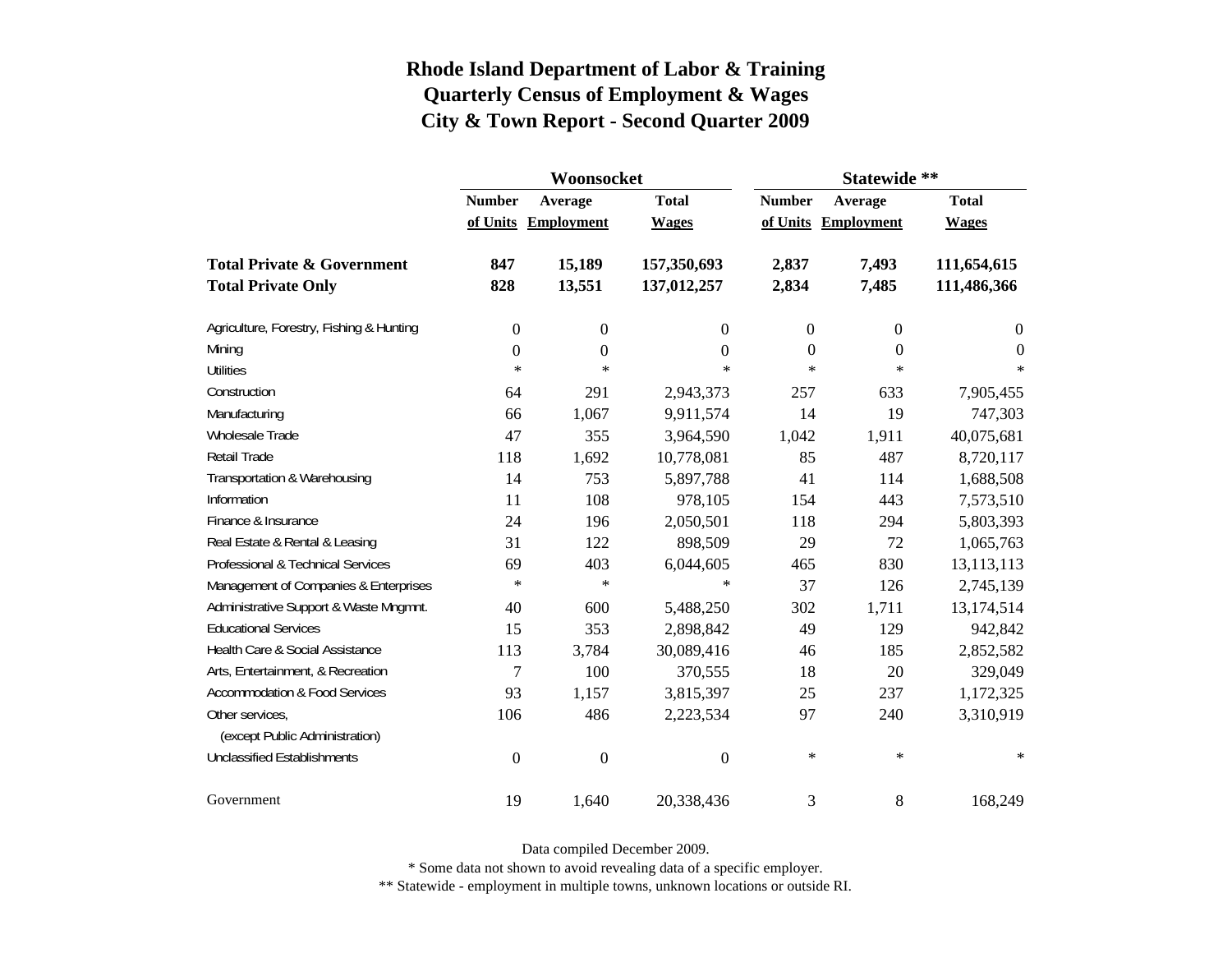|                                          |                  | Woonsocket          |                  | Statewide **     |                     |                |  |
|------------------------------------------|------------------|---------------------|------------------|------------------|---------------------|----------------|--|
|                                          | <b>Number</b>    | Average             | <b>Total</b>     |                  | Average             | <b>Total</b>   |  |
|                                          |                  | of Units Employment | <b>Wages</b>     |                  | of Units Employment | <b>Wages</b>   |  |
| <b>Total Private &amp; Government</b>    | 847              | 15,189              | 157,350,693      | 2,837            | 7,493               | 111,654,615    |  |
| <b>Total Private Only</b>                | 828              | 13,551              | 137,012,257      | 2,834            | 7,485               | 111,486,366    |  |
| Agriculture, Forestry, Fishing & Hunting | 0                | $\boldsymbol{0}$    | 0                | $\boldsymbol{0}$ | $\boldsymbol{0}$    | $\overline{0}$ |  |
| Mining                                   | $\boldsymbol{0}$ | $\boldsymbol{0}$    | $\overline{0}$   | $\overline{0}$   | $\overline{0}$      | $\overline{0}$ |  |
| <b>Utilities</b>                         | $\ast$           | $\ast$              | $\ast$           | $\star$          | $\ast$              | $\ast$         |  |
| Construction                             | 64               | 291                 | 2,943,373        | 257              | 633                 | 7,905,455      |  |
| Manufacturing                            | 66               | 1,067               | 9,911,574        | 14               | 19                  | 747,303        |  |
| Wholesale Trade                          | 47               | 355                 | 3,964,590        | 1,042            | 1,911               | 40,075,681     |  |
| Retail Trade                             | 118              | 1,692               | 10,778,081       | 85               | 487                 | 8,720,117      |  |
| Transportation & Warehousing             | 14               | 753                 | 5,897,788        | 41               | 114                 | 1,688,508      |  |
| Information                              | 11               | 108                 | 978,105          | 154              | 443                 | 7,573,510      |  |
| Finance & Insurance                      | 24               | 196                 | 2,050,501        | 118              | 294                 | 5,803,393      |  |
| Real Estate & Rental & Leasing           | 31               | 122                 | 898,509          | 29               | 72                  | 1,065,763      |  |
| Professional & Technical Services        | 69               | 403                 | 6,044,605        | 465              | 830                 | 13,113,113     |  |
| Management of Companies & Enterprises    | $\ast$           | $\ast$              | $\ast$           | 37               | 126                 | 2,745,139      |  |
| Administrative Support & Waste Mngmnt.   | 40               | 600                 | 5,488,250        | 302              | 1,711               | 13,174,514     |  |
| <b>Educational Services</b>              | 15               | 353                 | 2,898,842        | 49               | 129                 | 942,842        |  |
| Health Care & Social Assistance          | 113              | 3,784               | 30,089,416       | 46               | 185                 | 2,852,582      |  |
| Arts, Entertainment, & Recreation        | $\overline{7}$   | 100                 | 370,555          | 18               | 20                  | 329,049        |  |
| <b>Accommodation &amp; Food Services</b> | 93               | 1,157               | 3,815,397        | 25               | 237                 | 1,172,325      |  |
| Other services,                          | 106              | 486                 | 2,223,534        | 97               | 240                 | 3,310,919      |  |
| (except Public Administration)           |                  |                     |                  |                  |                     |                |  |
| <b>Unclassified Establishments</b>       | $\boldsymbol{0}$ | $\boldsymbol{0}$    | $\boldsymbol{0}$ | $\ast$           | $\ast$              | $\ast$         |  |
| Government                               | 19               | 1,640               | 20,338,436       | 3                | 8                   | 168,249        |  |

Data compiled December 2009.

\* Some data not shown to avoid revealing data of a specific employer.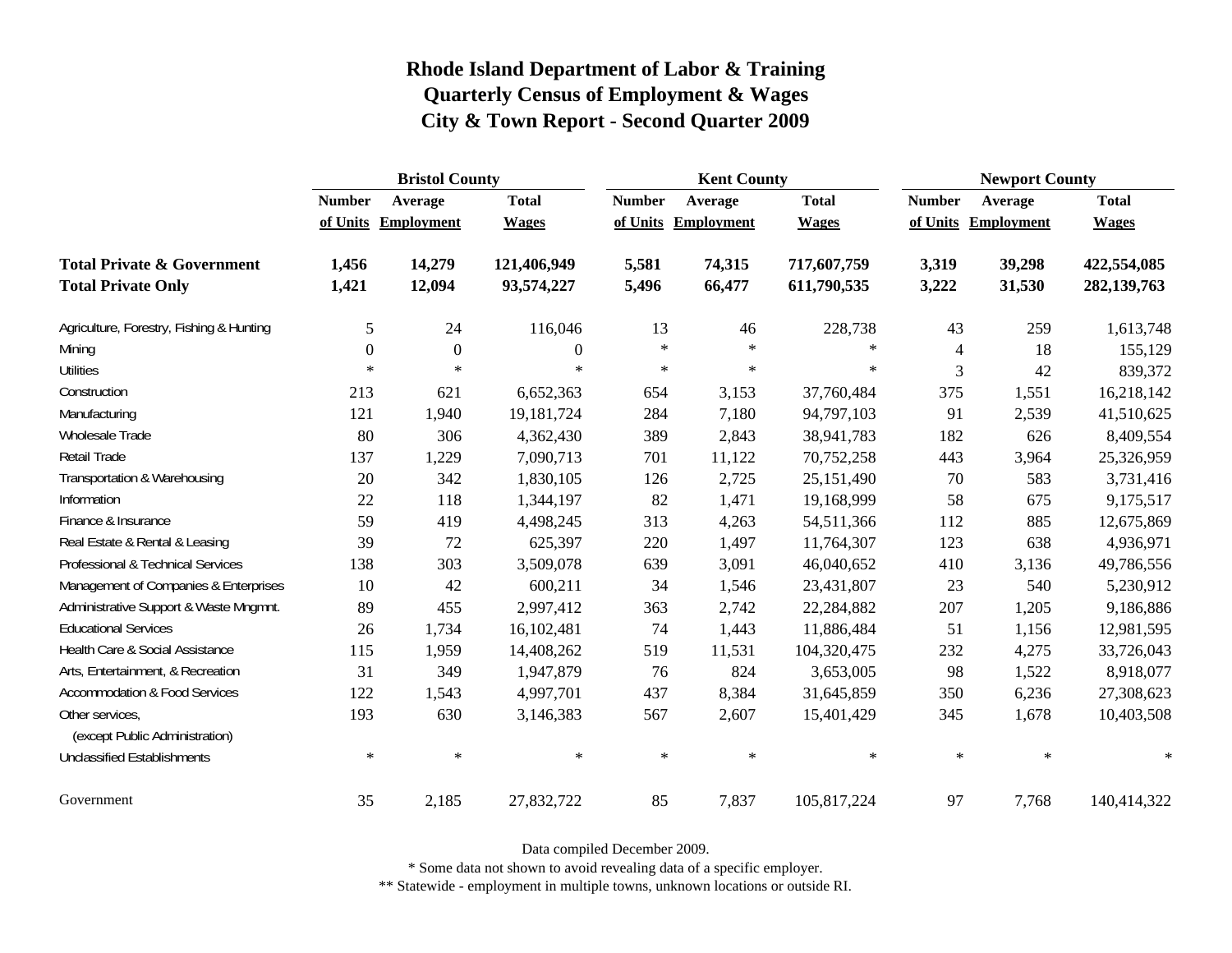|                                                   | <b>Bristol County</b> |                     |                |               | <b>Kent County</b> |              |                |            | <b>Newport County</b> |  |
|---------------------------------------------------|-----------------------|---------------------|----------------|---------------|--------------------|--------------|----------------|------------|-----------------------|--|
|                                                   | <b>Number</b>         | Average             | <b>Total</b>   | <b>Number</b> | Average            | <b>Total</b> | <b>Number</b>  | Average    | <b>Total</b>          |  |
|                                                   |                       | of Units Employment | <b>Wages</b>   | of Units      | <b>Employment</b>  | <b>Wages</b> | of Units       | Employment | <b>Wages</b>          |  |
| <b>Total Private &amp; Government</b>             | 1,456                 | 14,279              | 121,406,949    | 5,581         | 74,315             | 717,607,759  | 3,319          | 39,298     | 422,554,085           |  |
| <b>Total Private Only</b>                         | 1,421                 | 12,094              | 93,574,227     | 5,496         | 66,477             | 611,790,535  | 3,222          | 31,530     | 282,139,763           |  |
| Agriculture, Forestry, Fishing & Hunting          | 5                     | 24                  | 116,046        | 13            | 46                 | 228,738      | 43             | 259        | 1,613,748             |  |
| Mining                                            | $\mathbf{0}$          | $\mathbf{0}$        | $\overline{0}$ | $\ast$        | $\ast$             | $\ast$       | $\overline{4}$ | 18         | 155,129               |  |
| <b>Utilities</b>                                  | $\ast$                | $\ast$              | $\ast$         | $\ast$        | $\ast$             | $\ast$       | 3              | 42         | 839,372               |  |
| Construction                                      | 213                   | 621                 | 6,652,363      | 654           | 3,153              | 37,760,484   | 375            | 1,551      | 16,218,142            |  |
| Manufacturing                                     | 121                   | 1,940               | 19, 181, 724   | 284           | 7,180              | 94,797,103   | 91             | 2,539      | 41,510,625            |  |
| Wholesale Trade                                   | 80                    | 306                 | 4,362,430      | 389           | 2,843              | 38,941,783   | 182            | 626        | 8,409,554             |  |
| Retail Trade                                      | 137                   | 1,229               | 7,090,713      | 701           | 11,122             | 70,752,258   | 443            | 3,964      | 25,326,959            |  |
| Transportation & Warehousing                      | 20                    | 342                 | 1,830,105      | 126           | 2,725              | 25,151,490   | 70             | 583        | 3,731,416             |  |
| Information                                       | $22\,$                | 118                 | 1,344,197      | 82            | 1,471              | 19,168,999   | 58             | 675        | 9,175,517             |  |
| Finance & Insurance                               | 59                    | 419                 | 4,498,245      | 313           | 4,263              | 54,511,366   | 112            | 885        | 12,675,869            |  |
| Real Estate & Rental & Leasing                    | 39                    | 72                  | 625,397        | 220           | 1,497              | 11,764,307   | 123            | 638        | 4,936,971             |  |
| Professional & Technical Services                 | 138                   | 303                 | 3,509,078      | 639           | 3,091              | 46,040,652   | 410            | 3,136      | 49,786,556            |  |
| Management of Companies & Enterprises             | 10                    | 42                  | 600,211        | 34            | 1,546              | 23,431,807   | 23             | 540        | 5,230,912             |  |
| Administrative Support & Waste Mngmnt.            | 89                    | 455                 | 2,997,412      | 363           | 2,742              | 22,284,882   | 207            | 1,205      | 9,186,886             |  |
| <b>Educational Services</b>                       | 26                    | 1,734               | 16,102,481     | 74            | 1,443              | 11,886,484   | 51             | 1,156      | 12,981,595            |  |
| Health Care & Social Assistance                   | 115                   | 1,959               | 14,408,262     | 519           | 11,531             | 104,320,475  | 232            | 4,275      | 33,726,043            |  |
| Arts, Entertainment, & Recreation                 | 31                    | 349                 | 1,947,879      | 76            | 824                | 3,653,005    | 98             | 1,522      | 8,918,077             |  |
| <b>Accommodation &amp; Food Services</b>          | 122                   | 1,543               | 4,997,701      | 437           | 8,384              | 31,645,859   | 350            | 6,236      | 27,308,623            |  |
| Other services,<br>(except Public Administration) | 193                   | 630                 | 3,146,383      | 567           | 2,607              | 15,401,429   | 345            | 1,678      | 10,403,508            |  |
| <b>Unclassified Establishments</b>                | $\ast$                | $\ast$              | $\ast$         | $\ast$        | $\ast$             | $\ast$       | $\ast$         | $\ast$     | $\ast$                |  |
| Government                                        | 35                    | 2,185               | 27,832,722     | 85            | 7,837              | 105,817,224  | 97             | 7,768      | 140,414,322           |  |

Data compiled December 2009.

\* Some data not shown to avoid revealing data of a specific employer.